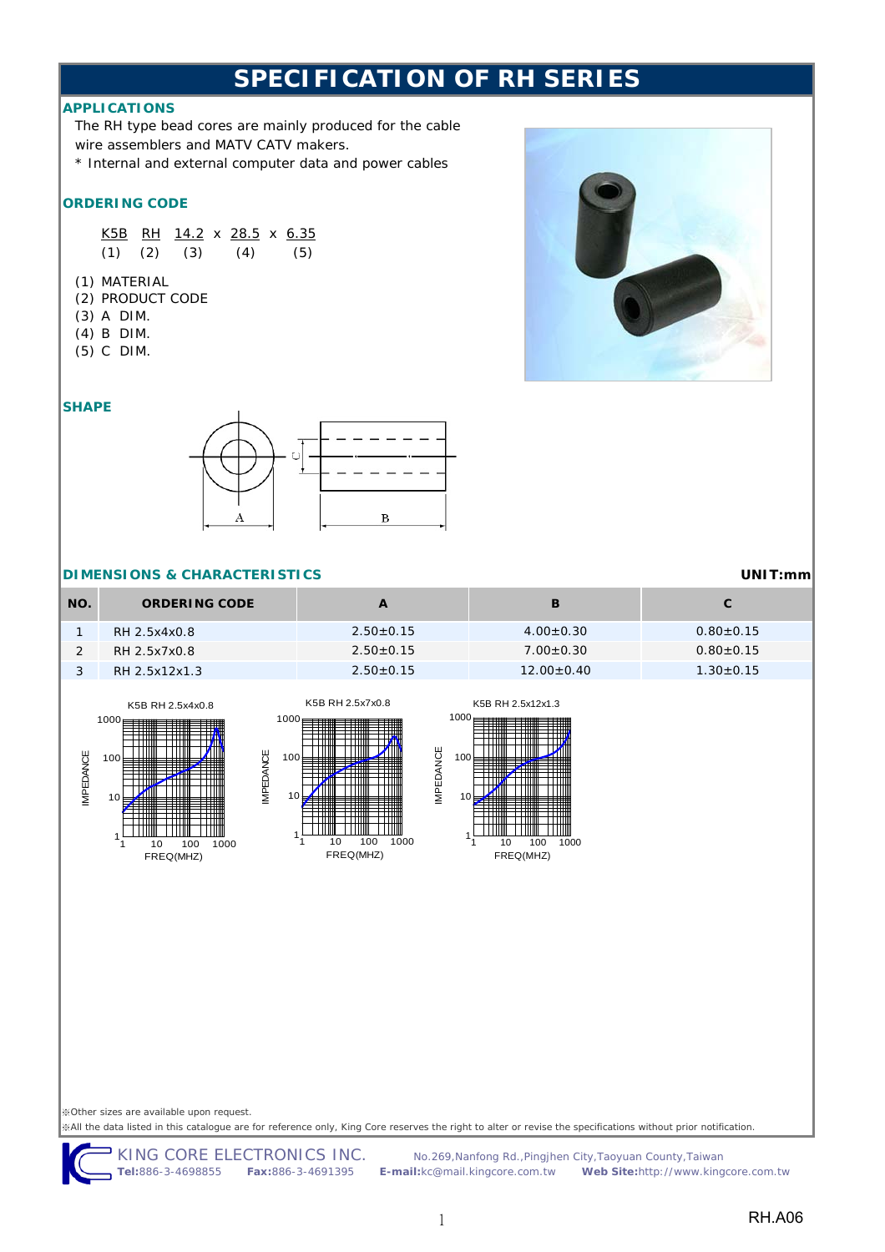### **APPLICATIONS**

The RH type bead cores are mainly produced for the cable wire assemblers and MATV CATV makers.

\* Internal and external computer data and power cables

#### **ORDERING CODE**

K5B RH 14.2 x 28.5 x 6.35  $(1)$   $(2)$   $(3)$   $(4)$   $(5)$ 

- (1) MATERIAL
- (2) PRODUCT CODE
- (3) A DIM.
- (4) B DIM.
- (5) C DIM.

### **SHAPE**



#### **DIMENSIONS & CHARACTERISTICS**

| NO. | <b>ORDERING CODE</b> |                 |                 |                 |
|-----|----------------------|-----------------|-----------------|-----------------|
|     | RH 2.5x4x0.8         | $2.50+0.15$     | $4.00 \pm 0.30$ | $0.80 \pm 0.15$ |
|     | RH 2.5x7x0.8         | $2.50+0.15$     | $7.00 \pm 0.30$ | $0.80 + 0.15$   |
|     | RH 2.5x12x1.3        | $2.50 \pm 0.15$ | $12.00+0.40$    | $1.30 \pm 0.15$ |





IMPEDANCE

**VIPEDANCE** 



FREQ(MHZ)

※Other sizes are available upon request.

※All the data listed in this catalogue are for reference only, King Core reserves the right to alter or revise the specifications without prior notification.

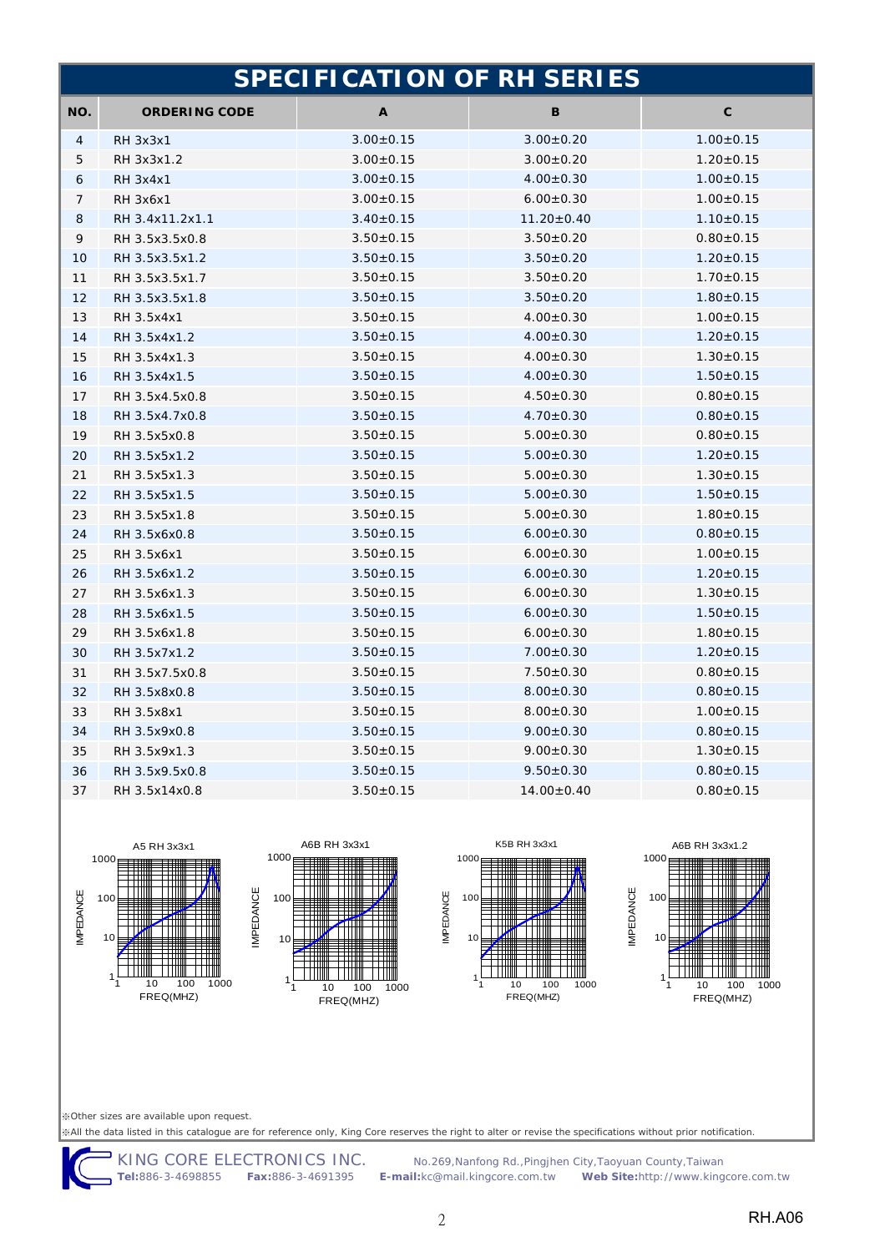|     | <b>SPECIFICATION OF RH SERIES</b> |                 |                  |                 |  |
|-----|-----------------------------------|-----------------|------------------|-----------------|--|
| NO. | <b>ORDERING CODE</b>              | A               | В                | С               |  |
| 4   | <b>RH 3x3x1</b>                   | $3.00 \pm 0.15$ | $3.00 \pm 0.20$  | $1.00 \pm 0.15$ |  |
| 5   | RH 3x3x1.2                        | $3.00 \pm 0.15$ | $3.00 \pm 0.20$  | $1.20 \pm 0.15$ |  |
| 6   | <b>RH 3x4x1</b>                   | $3.00 \pm 0.15$ | $4.00 \pm 0.30$  | $1.00 \pm 0.15$ |  |
| 7   | <b>RH 3x6x1</b>                   | $3.00 \pm 0.15$ | $6.00 \pm 0.30$  | $1.00 \pm 0.15$ |  |
| 8   | RH 3.4x11.2x1.1                   | $3.40 \pm 0.15$ | $11.20 \pm 0.40$ | $1.10 \pm 0.15$ |  |
| 9   | RH 3.5x3.5x0.8                    | $3.50 \pm 0.15$ | $3.50 \pm 0.20$  | $0.80 \pm 0.15$ |  |
| 10  | RH 3.5x3.5x1.2                    | $3.50 \pm 0.15$ | $3.50 \pm 0.20$  | $1.20 \pm 0.15$ |  |
| 11  | RH 3.5x3.5x1.7                    | $3.50 \pm 0.15$ | $3.50 \pm 0.20$  | $1.70 \pm 0.15$ |  |
| 12  | RH 3.5x3.5x1.8                    | $3.50 \pm 0.15$ | $3.50 \pm 0.20$  | $1.80 \pm 0.15$ |  |
| 13  | RH 3.5x4x1                        | $3.50\pm0.15$   | $4.00 \pm 0.30$  | $1.00 \pm 0.15$ |  |
| 14  | RH 3.5x4x1.2                      | $3.50 \pm 0.15$ | $4.00 \pm 0.30$  | $1.20 \pm 0.15$ |  |
| 15  | RH 3.5x4x1.3                      | $3.50 \pm 0.15$ | $4.00 \pm 0.30$  | $1.30 \pm 0.15$ |  |
| 16  | RH 3.5x4x1.5                      | $3.50 \pm 0.15$ | $4.00 \pm 0.30$  | $1.50 \pm 0.15$ |  |
| 17  | RH 3.5x4.5x0.8                    | $3.50 \pm 0.15$ | $4.50 \pm 0.30$  | $0.80 \pm 0.15$ |  |
| 18  | RH 3.5x4.7x0.8                    | $3.50 \pm 0.15$ | $4.70 \pm 0.30$  | $0.80{\pm}0.15$ |  |
| 19  | RH 3.5x5x0.8                      | $3.50 \pm 0.15$ | $5.00 \pm 0.30$  | $0.80 \pm 0.15$ |  |
| 20  | RH 3.5x5x1.2                      | $3.50 \pm 0.15$ | $5.00 \pm 0.30$  | $1.20 \pm 0.15$ |  |
| 21  | RH 3.5x5x1.3                      | $3.50 \pm 0.15$ | $5.00 \pm 0.30$  | $1.30 \pm 0.15$ |  |
| 22  | RH 3.5x5x1.5                      | $3.50 \pm 0.15$ | $5.00 \pm 0.30$  | $1.50 \pm 0.15$ |  |
| 23  | RH 3.5x5x1.8                      | $3.50 \pm 0.15$ | $5.00 \pm 0.30$  | $1.80 \pm 0.15$ |  |
| 24  | RH 3.5x6x0.8                      | $3.50 \pm 0.15$ | $6.00 \pm 0.30$  | $0.80 \pm 0.15$ |  |
| 25  | RH 3.5x6x1                        | $3.50 \pm 0.15$ | $6.00 \pm 0.30$  | $1.00 \pm 0.15$ |  |
| 26  | RH 3.5x6x1.2                      | $3.50 \pm 0.15$ | $6.00 \pm 0.30$  | $1.20 \pm 0.15$ |  |
| 27  | RH 3.5x6x1.3                      | $3.50 \pm 0.15$ | $6.00 \pm 0.30$  | $1.30 \pm 0.15$ |  |
| 28  | RH 3.5x6x1.5                      | $3.50 \pm 0.15$ | $6.00 \pm 0.30$  | $1.50 \pm 0.15$ |  |
| 29  | RH 3.5x6x1.8                      | $3.50 \pm 0.15$ | $6.00 \pm 0.30$  | $1.80 \pm 0.15$ |  |
| 30  | RH 3.5x7x1.2                      | $3.50 \pm 0.15$ | $7.00 \pm 0.30$  | $1.20 \pm 0.15$ |  |
| 31  | RH 3.5x7.5x0.8                    | $3.50 \pm 0.15$ | $7.50 \pm 0.30$  | $0.80 \pm 0.15$ |  |
| 32  | RH 3.5x8x0.8                      | $3.50 \pm 0.15$ | $8.00 \pm 0.30$  | $0.80 \pm 0.15$ |  |
| 33  | RH 3.5x8x1                        | $3.50 \pm 0.15$ | $8.00 \pm 0.30$  | $1.00 \pm 0.15$ |  |
| 34  | RH 3.5x9x0.8                      | $3.50 \pm 0.15$ | $9.00 \pm 0.30$  | $0.80 \pm 0.15$ |  |
| 35  | RH 3.5x9x1.3                      | $3.50 \pm 0.15$ | $9.00 \pm 0.30$  | $1.30 \pm 0.15$ |  |
| 36  | RH 3.5x9.5x0.8                    | $3.50 \pm 0.15$ | $9.50 \pm 0.30$  | $0.80 + 0.15$   |  |
| 37  | RH 3.5x14x0.8                     | $3.50 + 0.15$   | $14.00 \pm 0.40$ | $0.80 + 0.15$   |  |









※Other sizes are available upon request.

※All the data listed in this catalogue are for reference only, King Core reserves the right to alter or revise the specifications without prior notification.

IMPEDANCE

KING CORE ELECTRONICS INC.No.269,Nanfong Rd.,Pingjhen City,Taoyuan County,Taiwan **Tel:**886-3-4698855 **Fax:**886-3-4691395 **E-mail:**kc@mail.kingcore.com.tw **Web Site:**http://www.kingcore.com.tw

IMPEDANCE

**IMPEDANCE**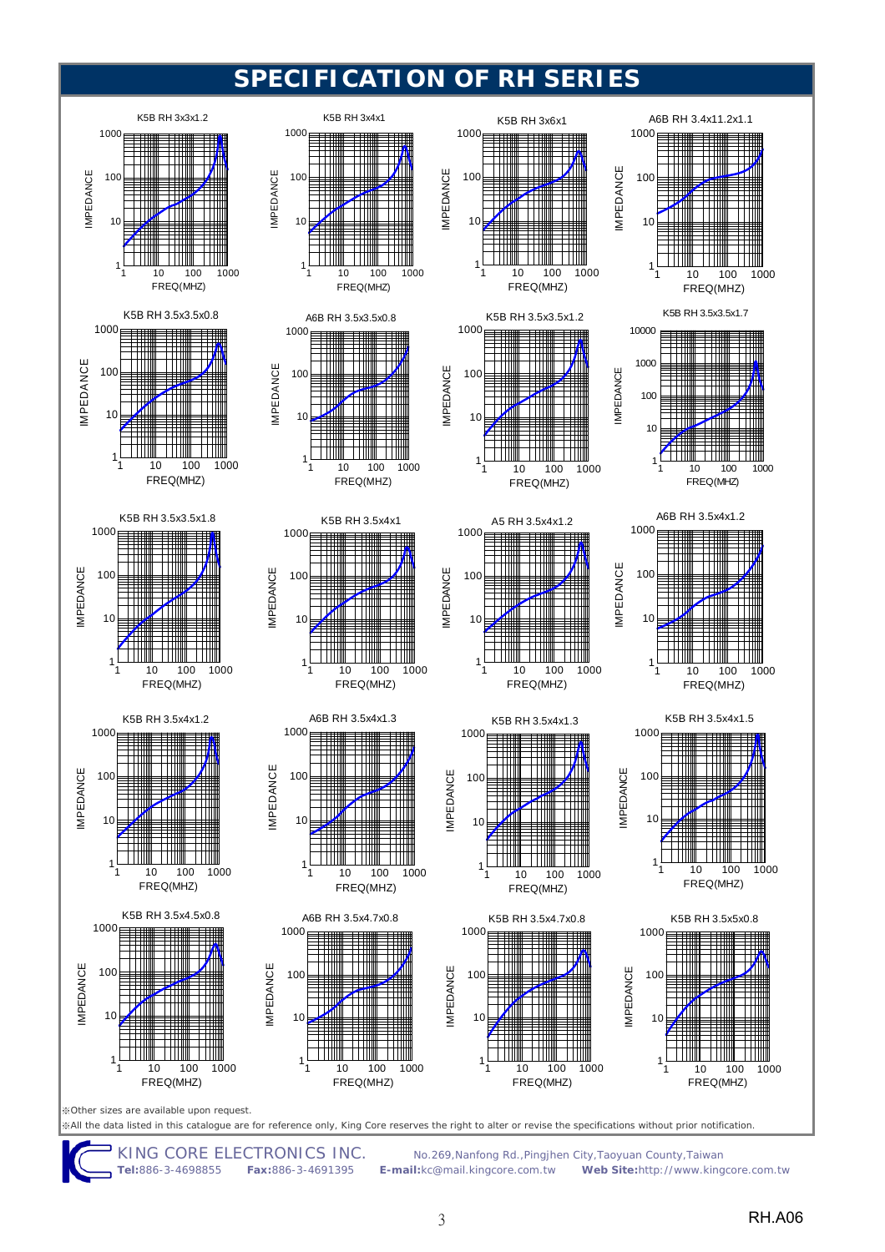

**Tel:**886-3-4698855 **Fax:**886-3-4691395 **E-mail:**kc@mail.kingcore.com.tw **Web Site:**http://www.kingcore.com.tw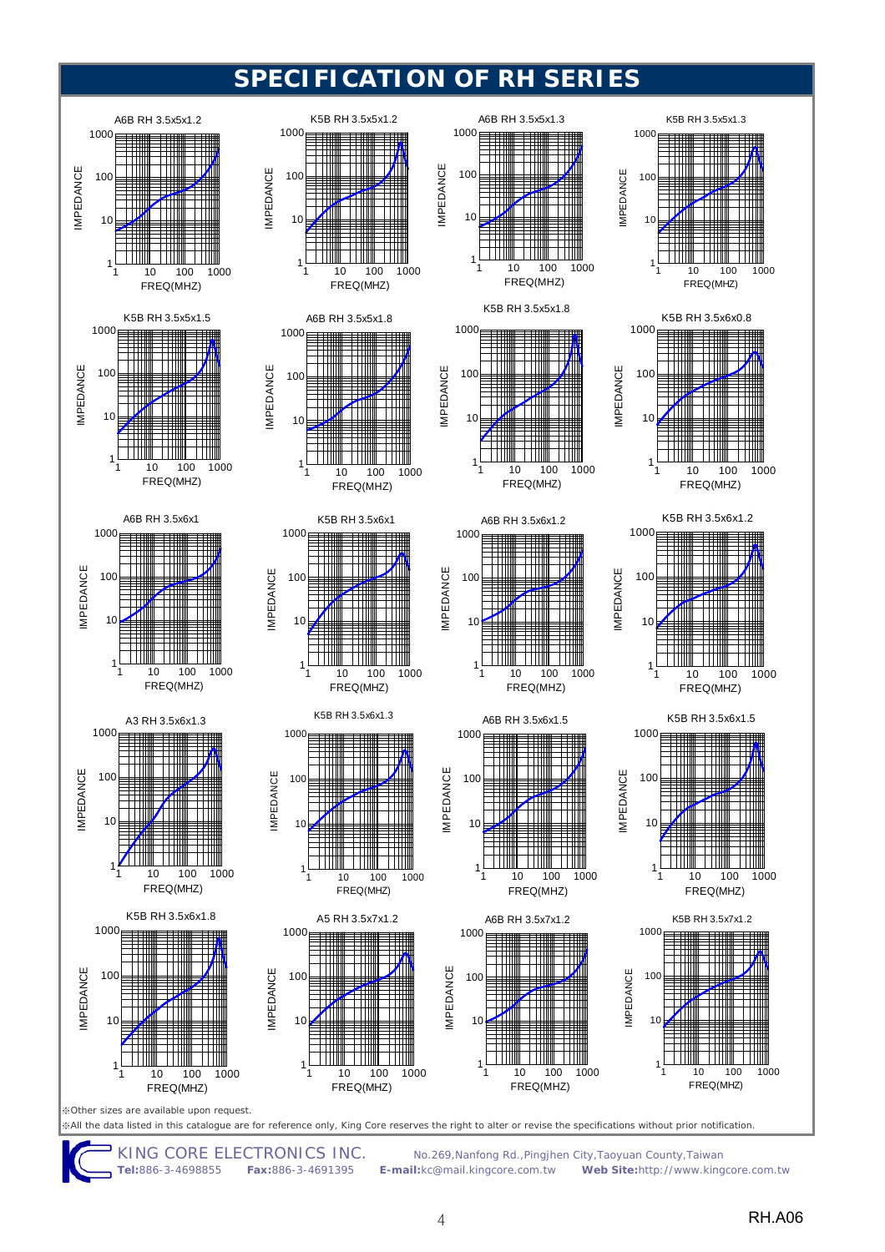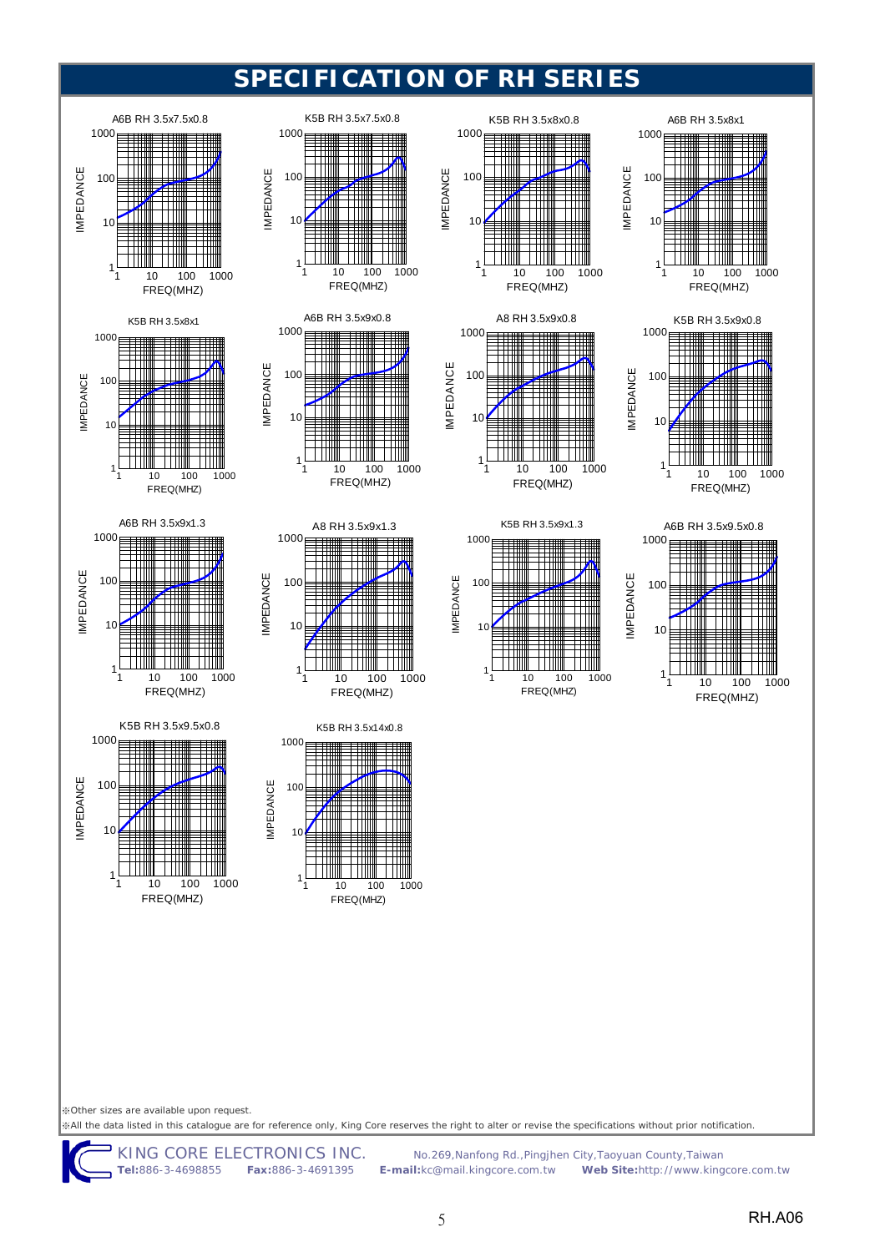







A6B RH 3.5x8x1

10

 $10<sub>0</sub>$ 

IMPEDANCE

**IMPEDANCE** 

1000

K5B RH 3.5x9x1.3

1

IMPEDANCE

**MPEDANCE** 

10 100 1000 FREQ(MHZ)





IMPEDANCE

**IMPEDANCE** 

※Other sizes are available upon request.

※All the data listed in this catalogue are for reference only, King Core reserves the right to alter or revise the specifications without prior notification.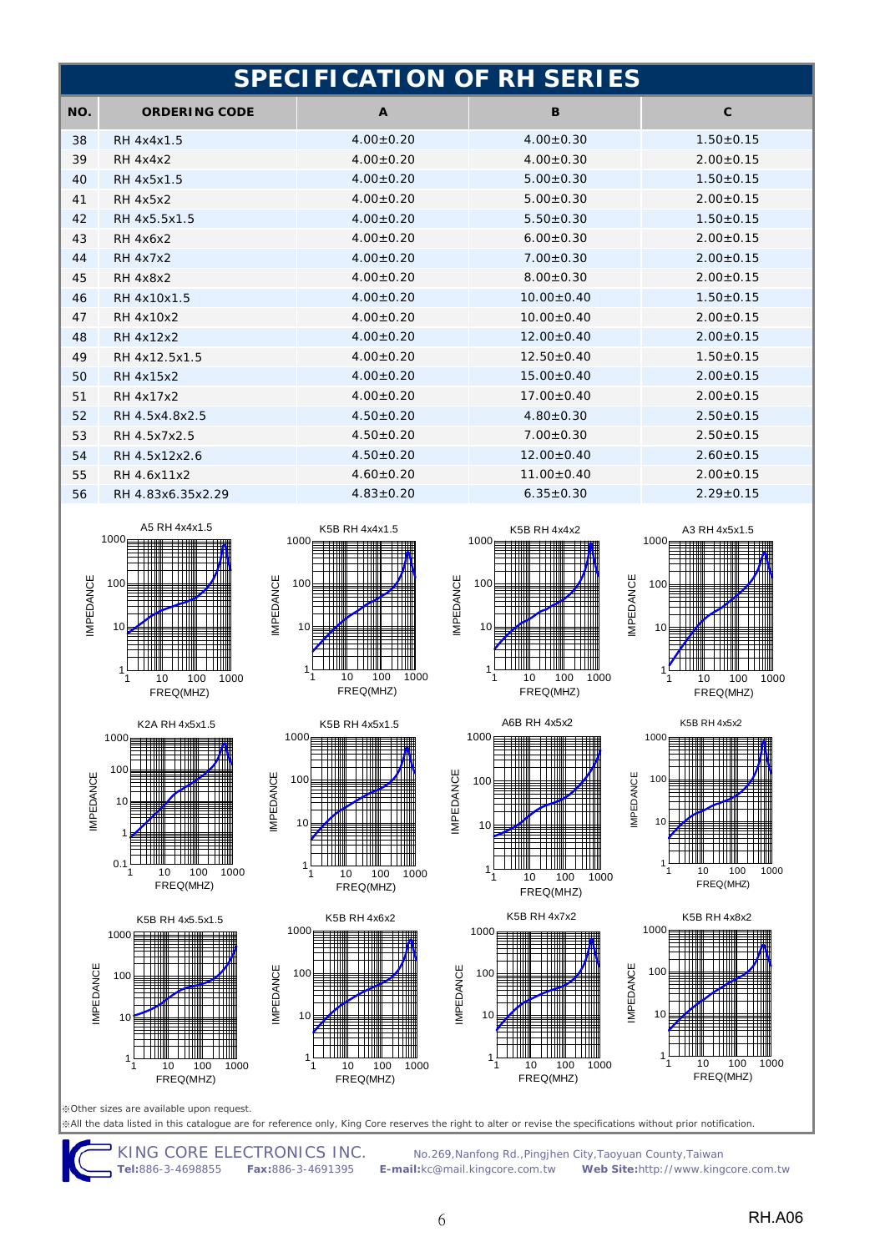|     | <b>SPECIFICATION OF RH SERIES</b> |                 |                  |                 |  |
|-----|-----------------------------------|-----------------|------------------|-----------------|--|
| NO. | <b>ORDERING CODE</b>              | $\mathbf{A}$    | B                | $\mathbf{C}$    |  |
| 38  | RH 4x4x1.5                        | $4.00 \pm 0.20$ | $4.00 \pm 0.30$  | $1.50 + 0.15$   |  |
| 39  | <b>RH 4x4x2</b>                   | $4.00 + 0.20$   | $4.00 \pm 0.30$  | $2.00 + 0.15$   |  |
| 40  | RH 4x5x1.5                        | $4.00+0.20$     | $5.00 + 0.30$    | $1.50 + 0.15$   |  |
| 41  | <b>RH 4x5x2</b>                   | $4.00 \pm 0.20$ | $5.00 \pm 0.30$  | $2.00 \pm 0.15$ |  |
| 42  | RH 4x5.5x1.5                      | $4.00 + 0.20$   | $5.50 + 0.30$    | $1.50 + 0.15$   |  |
| 43  | <b>RH 4x6x2</b>                   | $4.00 + 0.20$   | $6.00 + 0.30$    | $2.00 + 0.15$   |  |
| 44  | <b>RH 4x7x2</b>                   | $4.00 + 0.20$   | $7.00 + 0.30$    | $2.00+0.15$     |  |
| 45  | <b>RH 4x8x2</b>                   | $4.00 \pm 0.20$ | $8.00 \pm 0.30$  | $2.00 \pm 0.15$ |  |
| 46  | RH 4x10x1.5                       | $4.00 \pm 0.20$ | $10.00 \pm 0.40$ | $1.50 \pm 0.15$ |  |
| 47  | RH 4x10x2                         | $4.00 + 0.20$   | $10.00 + 0.40$   | $2.00+0.15$     |  |
| 48  | <b>RH 4x12x2</b>                  | $4.00 + 0.20$   | $12.00 + 0.40$   | $2.00 + 0.15$   |  |
| 49  | RH 4x12.5x1.5                     | $4.00 + 0.20$   | $12.50+0.40$     | $1.50 + 0.15$   |  |
| 50  | RH 4x15x2                         | $4.00 + 0.20$   | $15.00 + 0.40$   | $2.00 + 0.15$   |  |
| 51  | RH 4x17x2                         | $4.00 + 0.20$   | $17.00 + 0.40$   | $2.00 + 0.15$   |  |
| 52  | RH 4.5x4.8x2.5                    | $4.50 \pm 0.20$ | $4.80 + 0.30$    | $2.50 \pm 0.15$ |  |
| 53  | RH 4.5x7x2.5                      | $4.50 + 0.20$   | $7.00 + 0.30$    | $2.50 \pm 0.15$ |  |
| 54  | RH 4.5x12x2.6                     | $4.50+0.20$     | $12.00 + 0.40$   | $2.60+0.15$     |  |
| 55  | RH 4.6x11x2                       | $4.60+0.20$     | $11.00 + 0.40$   | $2.00 \pm 0.15$ |  |
| 56  | RH 4.83x6.35x2.29                 | $4.83 \pm 0.20$ | $6.35 \pm 0.30$  | $2.29 \pm 0.15$ |  |





K5B RH 4x5.5x1.5



K5B RH 4x4x1.5

IMPEDANCE

IMPEDANCE

**IMPEDANCE** 







10 100 1000 FREQ(MHZ)





K5B RH 4x7x2



A3 RH 4x5x1.5





1

1000







10 100 1000 FREQ(MHZ)

※Other sizes are available upon request. ※All the data listed in this catalogue are for reference only, King Core reserves the right to alter or revise the specifications without prior notification.

IMPEDANCE

**IMPEDANCE** 

1

 $1<sup>1</sup>$ 

10 100 1000 FREQ(MHZ)

- I I I I

1

10

100

IMPEDANCE

**IMPEDANCE** 

1000

KING CORE ELECTRONICS INC. No.269, Nanfong Rd., Pingjhen City, Taoyuan County, Taiwan<br>Tel:886-3-4698855 Fax:886-3-4691395 E-mail:kc@mail.kingcore.com.tw Web Site:http://www.king **Tel:**886-3-4698855 **Fax:**886-3-4691395 **E-mail:**kc@mail.kingcore.com.tw **Web Site:**http://www.kingcore.com.tw

1

10

100

IMPEDANCE

**IMPEDANCE** 

IMPEDANCE

**IMPEDANCE** 

1000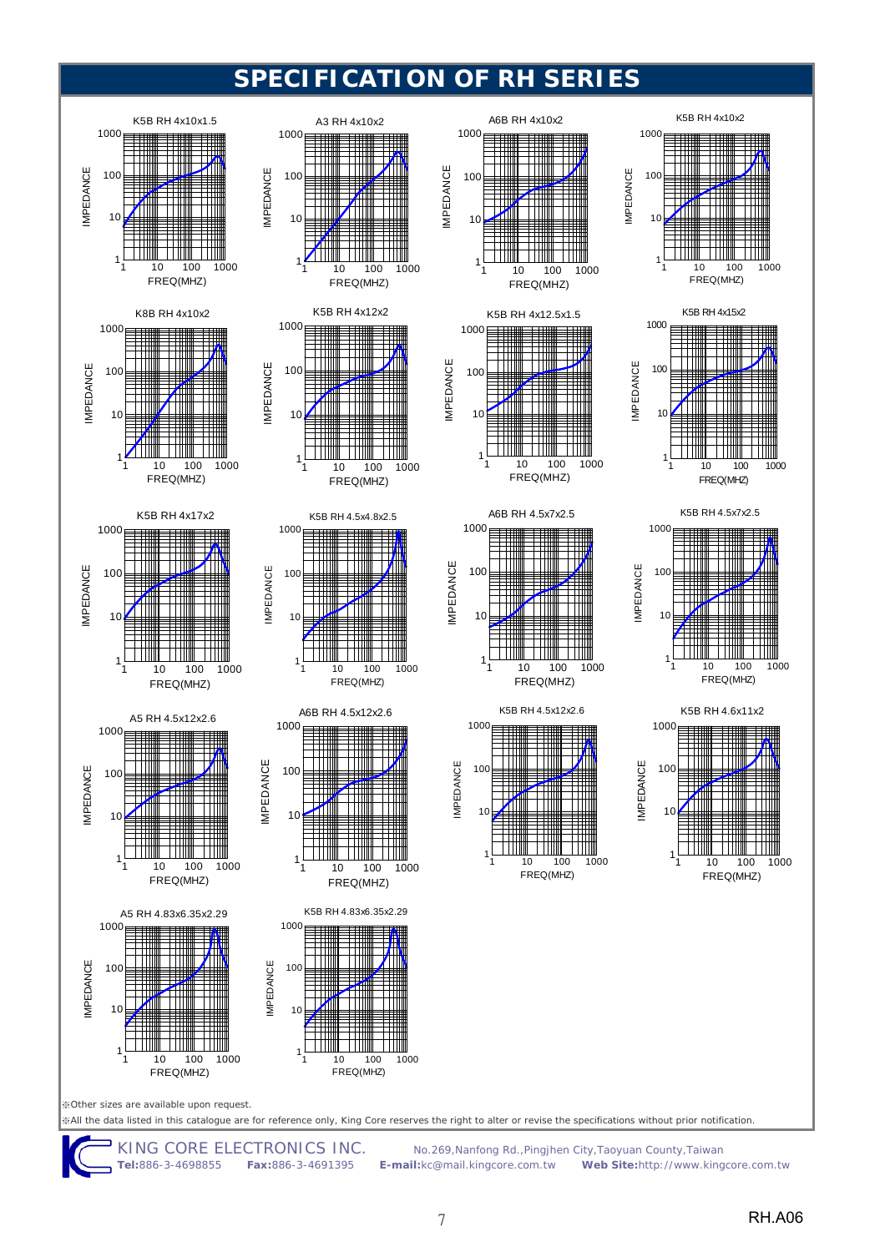

**Tel:**886-3-4698855 **Fax:**886-3-4691395 **E-mail:**kc@mail.kingcore.com.tw **Web Site:**http://www.kingcore.com.tw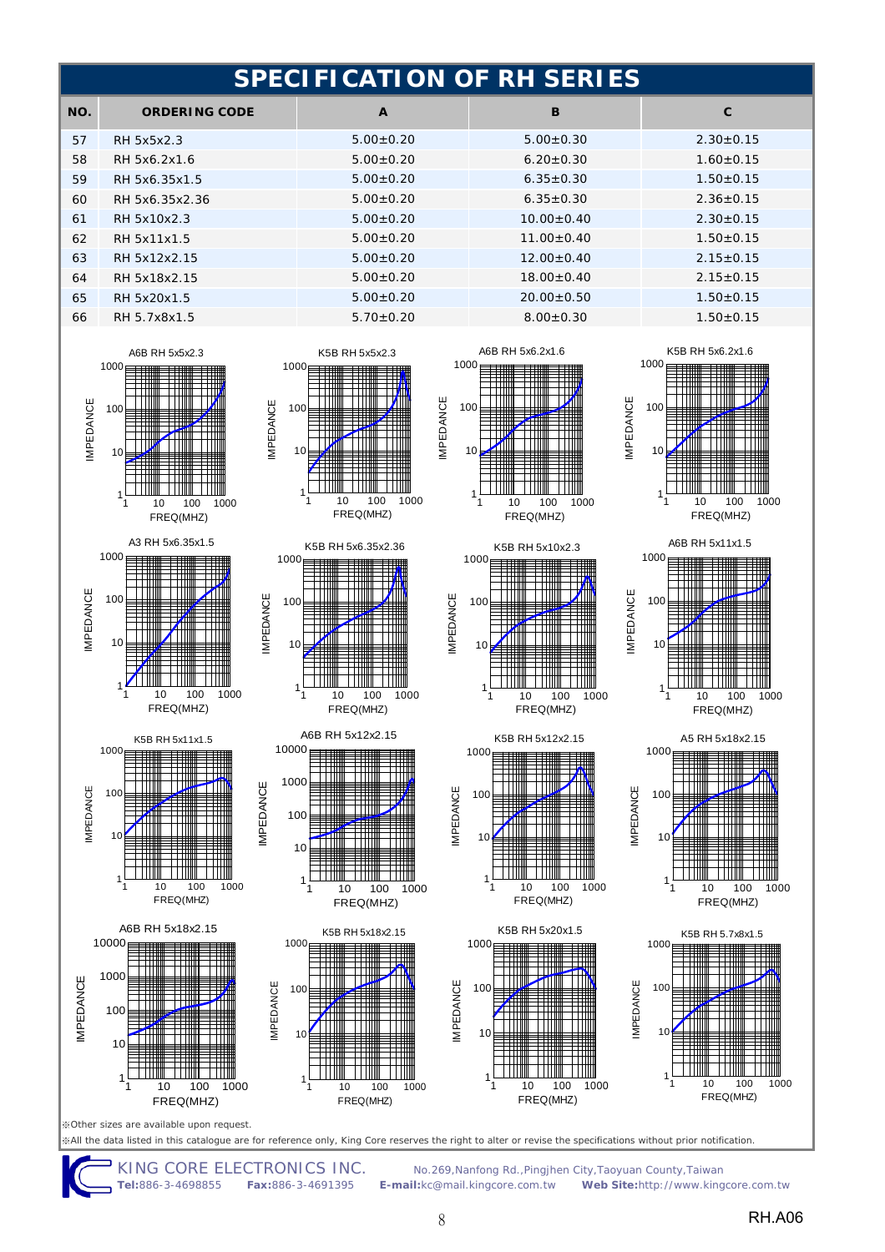|     | <b>SPECIFICATION OF RH SERIES</b> |                 |                  |                 |  |
|-----|-----------------------------------|-----------------|------------------|-----------------|--|
| NO. | <b>ORDERING CODE</b>              | $\mathbf{A}$    | B                | C               |  |
| 57  | RH 5x5x2.3                        | $5.00+0.20$     | $5.00 \pm 0.30$  | $2.30 \pm 0.15$ |  |
| 58  | RH 5x6.2x1.6                      | $5.00+0.20$     | $6.20 \pm 0.30$  | $1.60 + 0.15$   |  |
| 59  | RH 5x6.35x1.5                     | $5.00+0.20$     | $6.35 \pm 0.30$  | $1.50+0.15$     |  |
| 60  | RH 5x6.35x2.36                    | $5.00 \pm 0.20$ | $6.35 \pm 0.30$  | $2.36 \pm 0.15$ |  |
| 61  | RH 5x10x2.3                       | $5.00+0.20$     | $10.00 + 0.40$   | $2.30 \pm 0.15$ |  |
| 62  | RH 5x11x1.5                       | $5.00 \pm 0.20$ | $11.00 + 0.40$   | $1.50 \pm 0.15$ |  |
| 63  | RH 5x12x2.15                      | $5.00+0.20$     | $12.00+0.40$     | $2.15 \pm 0.15$ |  |
| 64  | RH 5x18x2.15                      | $5.00 \pm 0.20$ | $18.00 \pm 0.40$ | $2.15 \pm 0.15$ |  |
| 65  | RH 5x20x1.5                       | $5.00+0.20$     | $20.00 \pm 0.50$ | $1.50 \pm 0.15$ |  |
| 66  | RH 5.7x8x1.5                      | $5.70 \pm 0.20$ | $8.00 \pm 0.30$  | $1.50+0.15$     |  |











IMPEDANCE

**IMPEDANCE** 

IMPEDANCE

**IMPEDANCE** 





1000

K5B RH 5x6.2x1.6





FREQ(MHZ)

※Other sizes are available upon request.

1 10 100 1000 FREQ(MHZ)

10 100 1000 FREQ(MHZ)

11

A6B RH 5x18x2.15

K5B RH 5x11x1.5

10 100 1000 FREQ(MHZ)

20

1

1

 $10$ 

100

IMPEDANCE

IMPEDANCE

1000

10000

 $1<sup>1</sup>$ 

100

IMPEDANCE

**IMPEDANCE** 

1000

1

※All the data listed in this catalogue are for reference only, King Core reserves the right to alter or revise the specifications without prior notification.

10 100 1000 FREQ(MHZ)

K5B RH 5x18x2.15

10 100 1000 FREQ(MHZ)

1

10

100

IMPEDANCE

**MPEDANCE** 

1000

KING CORE ELECTRONICS INC.No.269,Nanfong Rd.,Pingjhen City,Taoyuan County,Taiwan **Tel:**886-3-4698855 **Fax:**886-3-4691395 **E-mail:**kc@mail.kingcore.com.tw **Web Site:**http://www.kingcore.com.tw

FREQ(MHZ)

8 RH.A06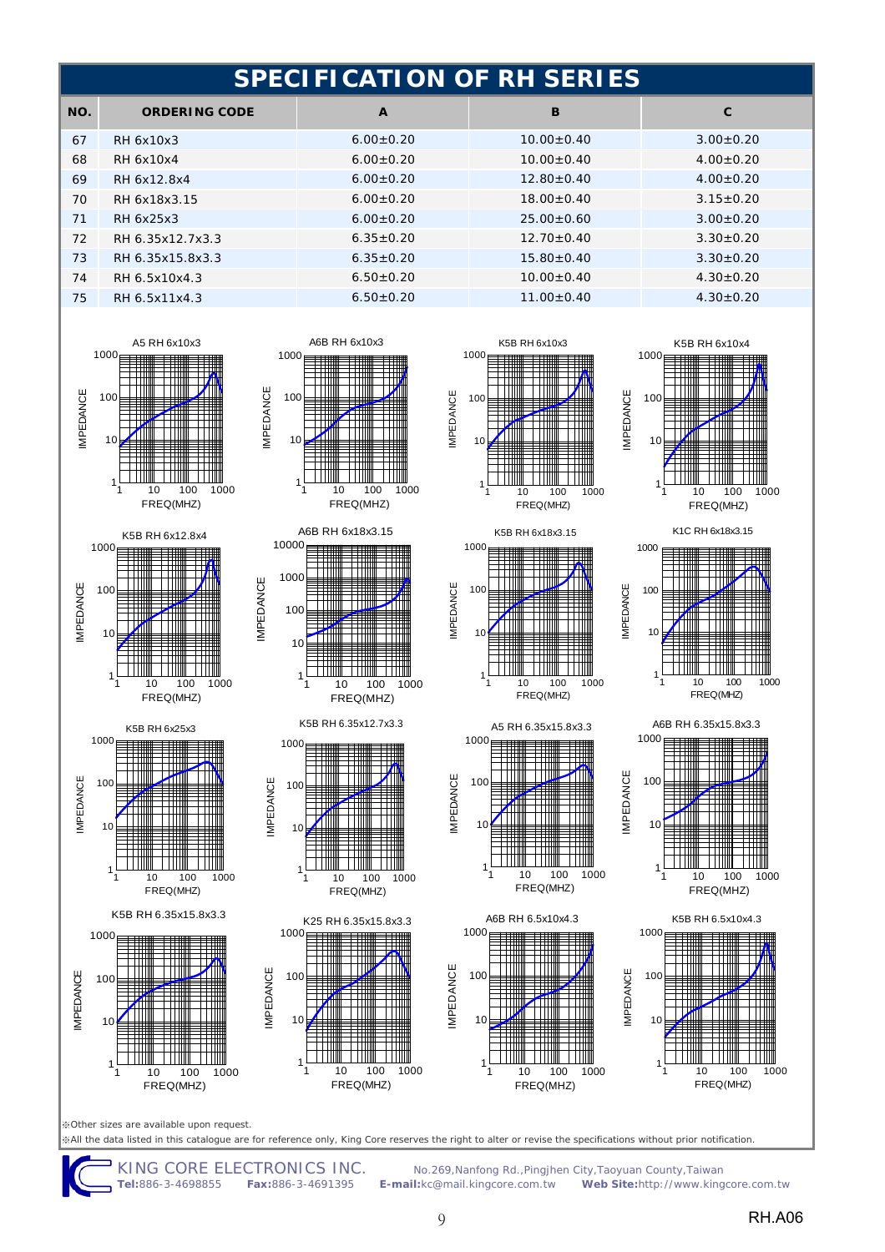| SPECIFICATION OF RH SERIES          |                             |                 |  |  |
|-------------------------------------|-----------------------------|-----------------|--|--|
| B<br>$\mathbf{A}$                   | NO.<br><b>ORDERING CODE</b> | C               |  |  |
| $6.00+0.20$<br>$10.00 \pm 0.40$     | RH 6x10x3                   | $3.00 \pm 0.20$ |  |  |
| $10.00 + 0.40$<br>$6.00 \pm 0.20$   | RH 6x10x4                   | $4.00+0.20$     |  |  |
| $12.80 + 0.40$<br>$6.00+0.20$       | RH 6x12.8x4                 | $4.00+0.20$     |  |  |
| $18.00+0.40$<br>$6.00+0.20$         | RH 6x18x3.15                | $3.15 \pm 0.20$ |  |  |
| $6.00+0.20$<br>$25.00+0.60$         | RH 6x25x3                   | $3.00 \pm 0.20$ |  |  |
| $12.70 \pm 0.40$<br>$6.35 \pm 0.20$ | RH 6.35x12.7x3.3            | $3.30 \pm 0.20$ |  |  |
| $6.35 \pm 0.20$<br>$15.80 \pm 0.40$ | RH 6.35x15.8x3.3            | $3.30 \pm 0.20$ |  |  |
| $6.50 \pm 0.20$<br>$10.00 \pm 0.40$ | RH 6.5x10x4.3               | $4.30 \pm 0.20$ |  |  |
| $6.50 \pm 0.20$<br>$11.00 \pm 0.40$ | RH 6.5x11x4.3               | $4.30 \pm 0.20$ |  |  |
|                                     |                             |                 |  |  |





FREQ(MHZ)



K5B RH 6.35x15.8x3.3





A6B RH 6x10x3

















IMPEDANCE

IMPEDANCE

**IMPEDANCE** 

K1C RH 6x18x3.15









※Other sizes are available upon request.

※All the data listed in this catalogue are for reference only, King Core reserves the right to alter or revise the specifications without prior notification.

KING CORE ELECTRONICS INC.No.269,Nanfong Rd.,Pingjhen City,Taoyuan County,Taiwan **Tel:**886-3-4698855 **Fax:**886-3-4691395 **E-mail:**kc@mail.kingcore.com.tw **Web Site:**http://www.kingcore.com.tw

10 100 1000 FREQ(MHZ)

1

IMPEDANCE

**IMPEDANCE**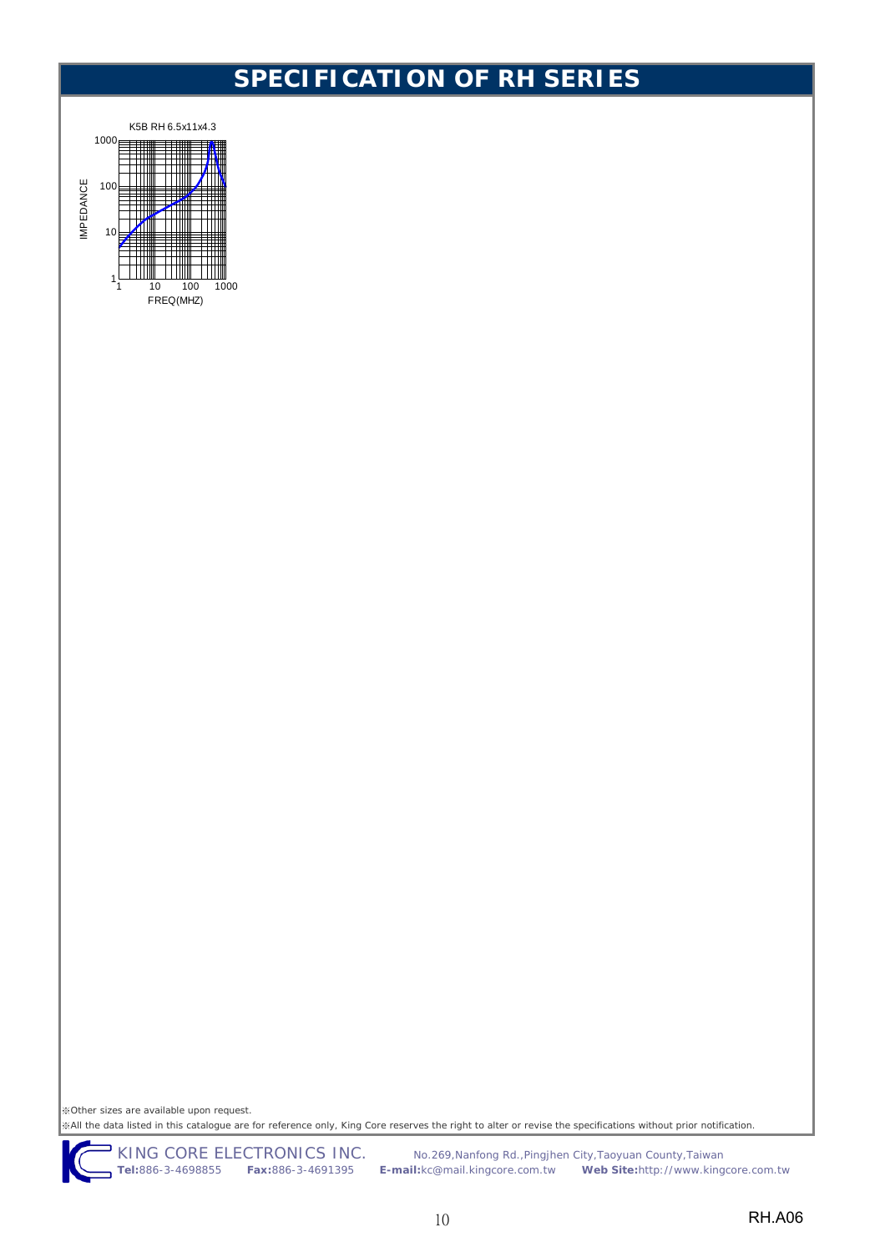

※Other sizes are available upon request. ※All the data listed in this catalogue are for reference only, King Core reserves the right to alter or revise the specifications without prior notification.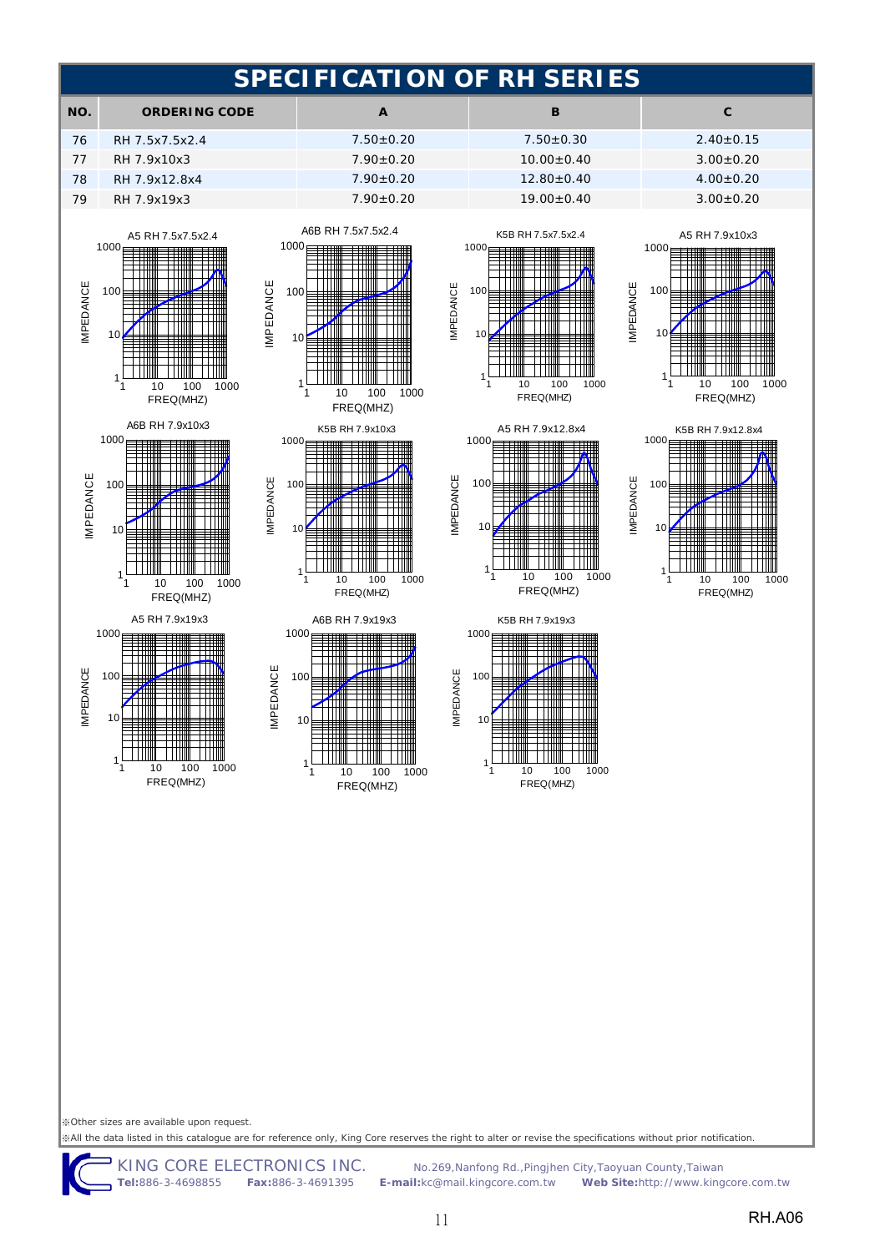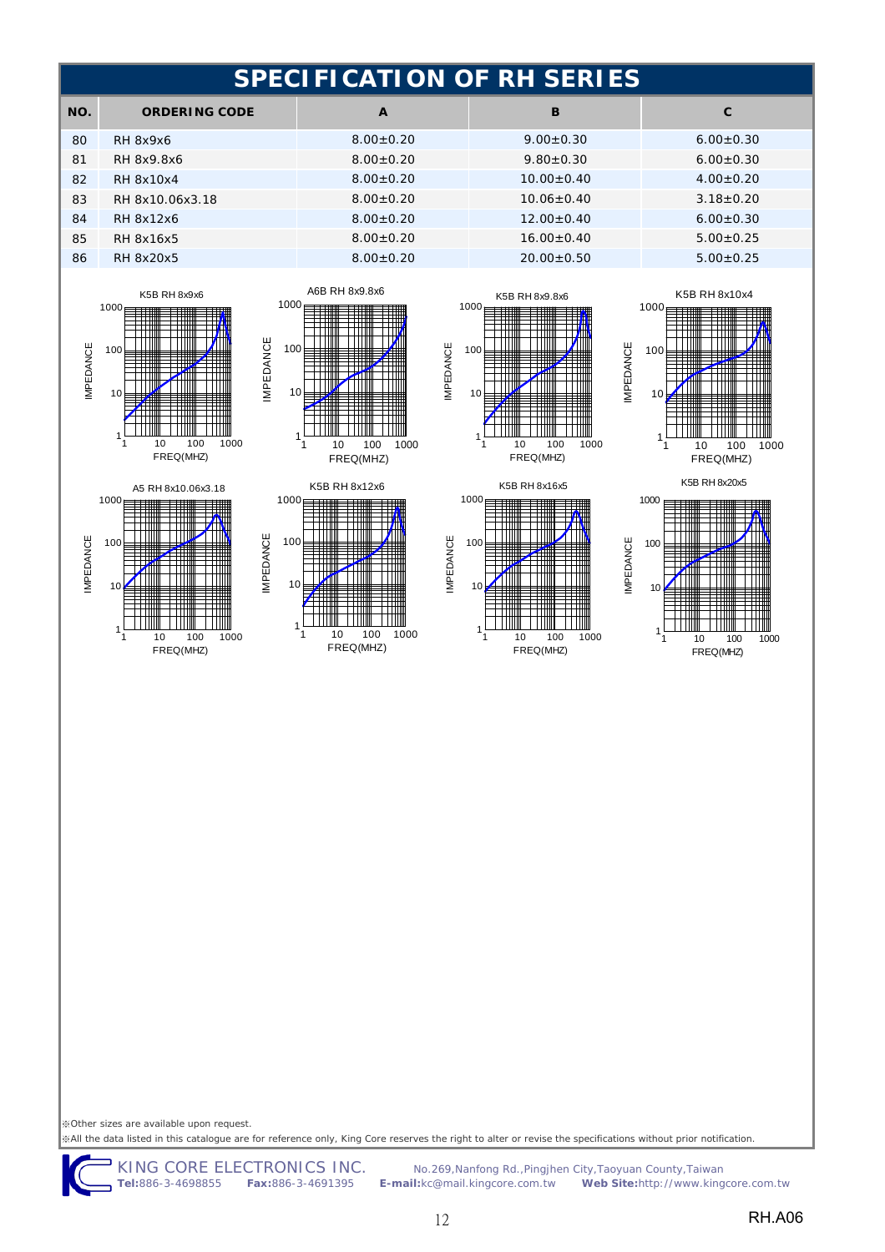

※All the data listed in this catalogue are for reference only, King Core reserves the right to alter or revise the specifications without prior notification.

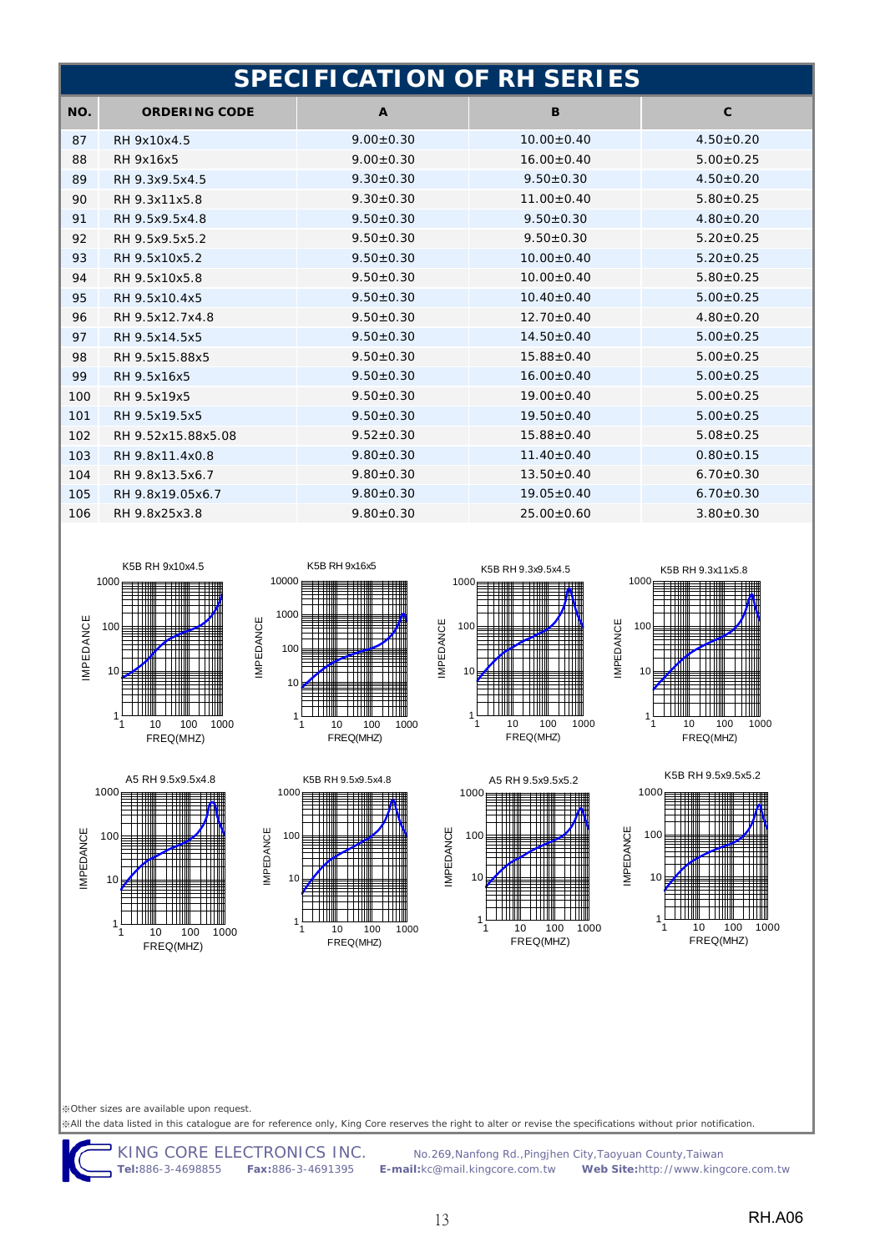|     | <b>SPECIFICATION OF RH SERIES</b> |                 |                  |                 |  |
|-----|-----------------------------------|-----------------|------------------|-----------------|--|
| NO. | <b>ORDERING CODE</b>              | $\mathbf{A}$    | B                | $\mathbf{C}$    |  |
| 87  | RH 9x10x4.5                       | $9.00 \pm 0.30$ | $10.00 + 0.40$   | $4.50+0.20$     |  |
| 88  | <b>RH 9x16x5</b>                  | $9.00 \pm 0.30$ | $16.00 \pm 0.40$ | $5.00 \pm 0.25$ |  |
| 89  | RH 9.3x9.5x4.5                    | $9.30 \pm 0.30$ | $9.50 \pm 0.30$  | $4.50 \pm 0.20$ |  |
| 90  | RH 9.3x11x5.8                     | $9.30 \pm 0.30$ | $11.00 \pm 0.40$ | $5.80 \pm 0.25$ |  |
| 91  | RH 9.5x9.5x4.8                    | $9.50 \pm 0.30$ | $9.50 \pm 0.30$  | $4.80 \pm 0.20$ |  |
| 92  | RH 9.5x9.5x5.2                    | $9.50 \pm 0.30$ | $9.50 \pm 0.30$  | $5.20 \pm 0.25$ |  |
| 93  | RH 9.5x10x5.2                     | $9.50 \pm 0.30$ | $10.00 + 0.40$   | $5.20 \pm 0.25$ |  |
| 94  | RH 9.5x10x5.8                     | $9.50 \pm 0.30$ | $10.00 \pm 0.40$ | $5.80 \pm 0.25$ |  |
| 95  | RH 9.5x10.4x5                     | $9.50 \pm 0.30$ | $10.40 \pm 0.40$ | $5.00 \pm 0.25$ |  |
| 96  | RH 9.5x12.7x4.8                   | $9.50 \pm 0.30$ | $12.70 \pm 0.40$ | $4.80 \pm 0.20$ |  |
| 97  | RH 9.5x14.5x5                     | $9.50 + 0.30$   | $14.50+0.40$     | $5.00 \pm 0.25$ |  |
| 98  | RH 9.5x15.88x5                    | $9.50 \pm 0.30$ | $15.88 + 0.40$   | $5.00 \pm 0.25$ |  |
| 99  | RH 9.5x16x5                       | $9.50 + 0.30$   | $16.00 + 0.40$   | $5.00 \pm 0.25$ |  |
| 100 | RH 9.5x19x5                       | $9.50 \pm 0.30$ | $19.00 \pm 0.40$ | $5.00 \pm 0.25$ |  |
| 101 | RH 9.5x19.5x5                     | $9.50 \pm 0.30$ | $19.50 \pm 0.40$ | $5.00 \pm 0.25$ |  |
| 102 | RH 9.52x15.88x5.08                | $9.52 \pm 0.30$ | $15.88 \pm 0.40$ | $5.08 \pm 0.25$ |  |
| 103 | RH 9.8x11.4x0.8                   | $9.80 \pm 0.30$ | $11.40 \pm 0.40$ | $0.80 \pm 0.15$ |  |
| 104 | RH 9.8x13.5x6.7                   | $9.80 \pm 0.30$ | $13.50 \pm 0.40$ | $6.70 \pm 0.30$ |  |
| 105 | RH 9.8x19.05x6.7                  | $9.80 \pm 0.30$ | $19.05 \pm 0.40$ | $6.70 \pm 0.30$ |  |
| 106 | RH 9.8x25x3.8                     | $9.80 \pm 0.30$ | $25.00 \pm 0.60$ | $3.80 \pm 0.30$ |  |



A5 RH 9.5x9.5x4.8



K5B RH 9.5x9.5x4.8

10 100 1000 FREQ(MHZ)

1

10

100

IMPEDANCE

IMPEDANCE

1000







K5B RH 9.5x9.5x5.2



※Other sizes are available upon request. ※All the data listed in this catalogue are for reference only, King Core reserves the right to alter or revise the specifications without prior notification.

10 100 1000 FREQ(MHZ)

1

10

100

IMPEDANCE

**IMPEDANCE** 

1000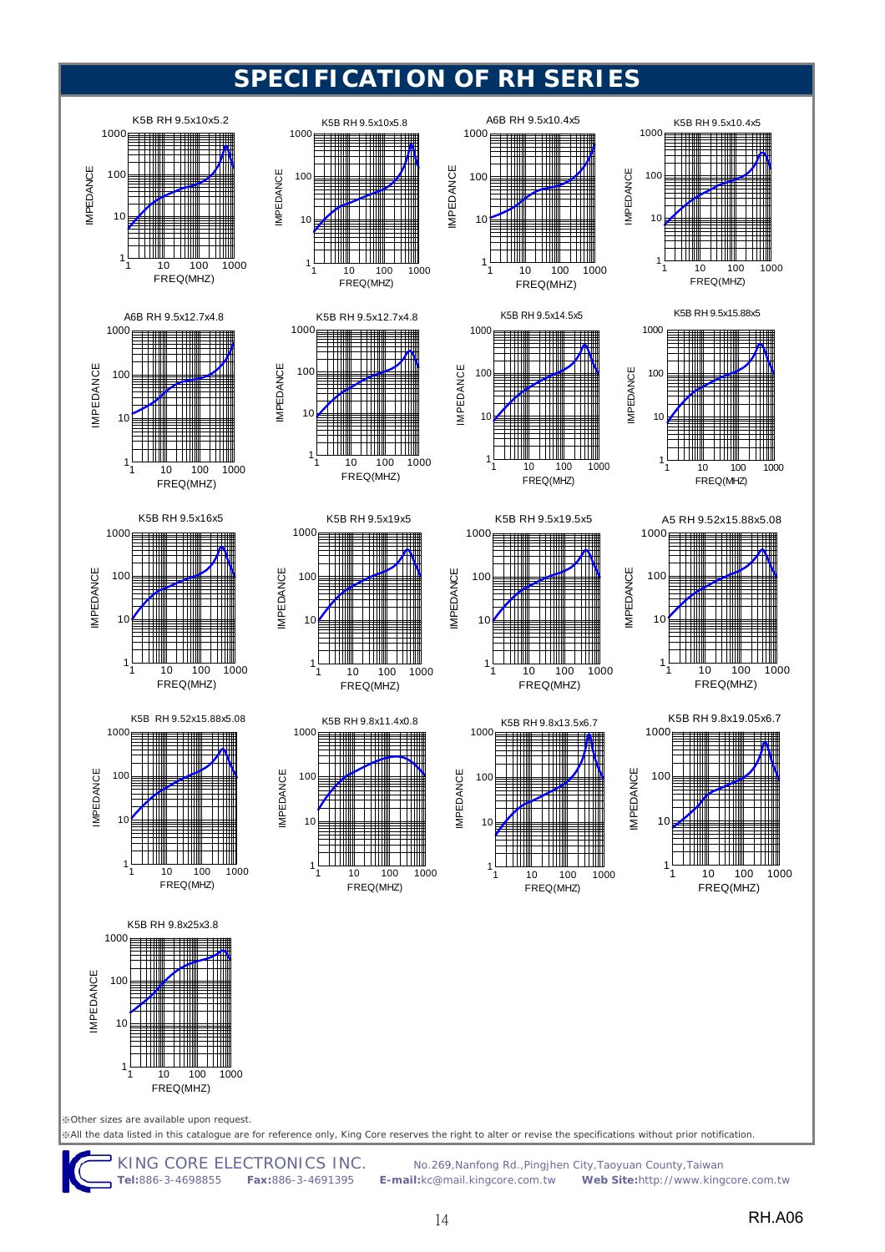

**Tel:**886-3-4698855 **Fax:**886-3-4691395 **E-mail:**kc@mail.kingcore.com.tw **Web Site:**http://www.kingcore.com.tw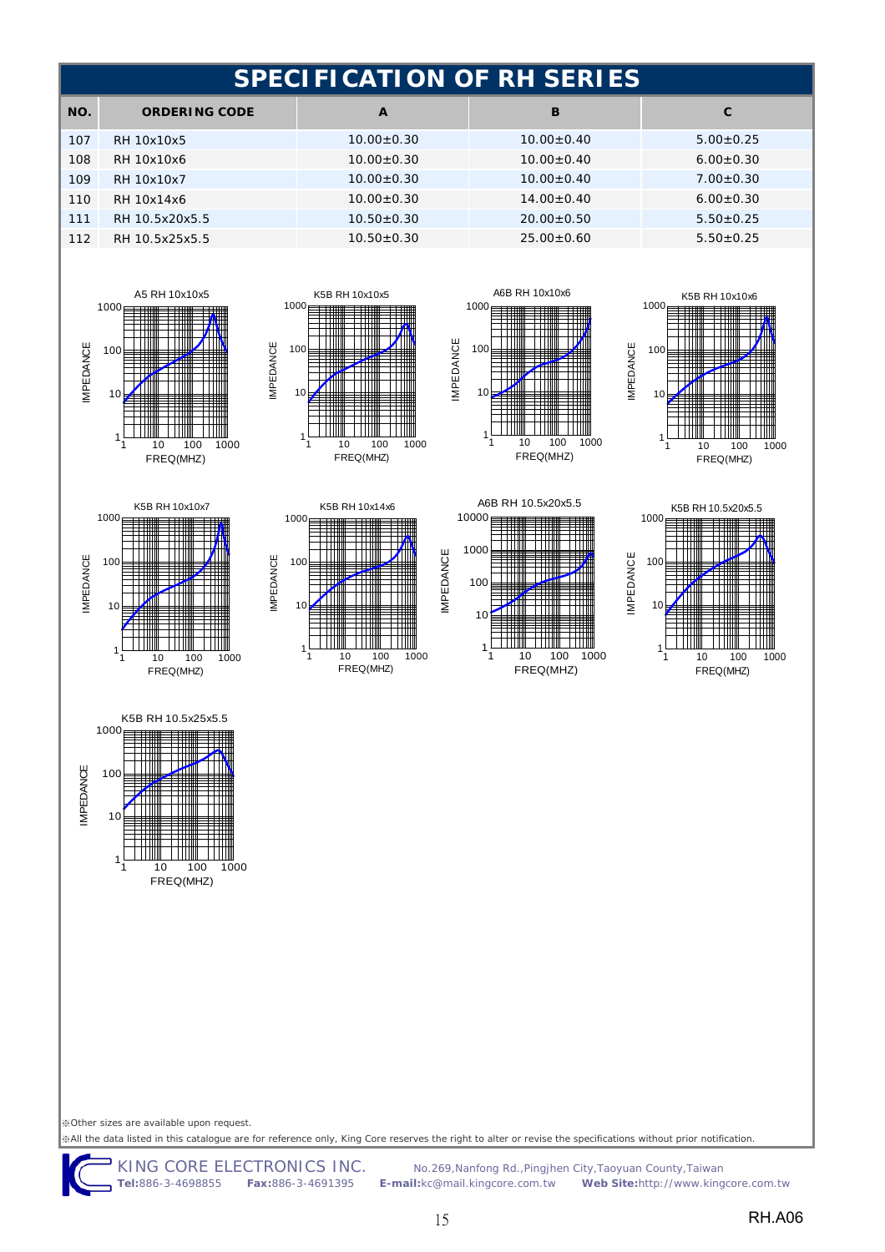

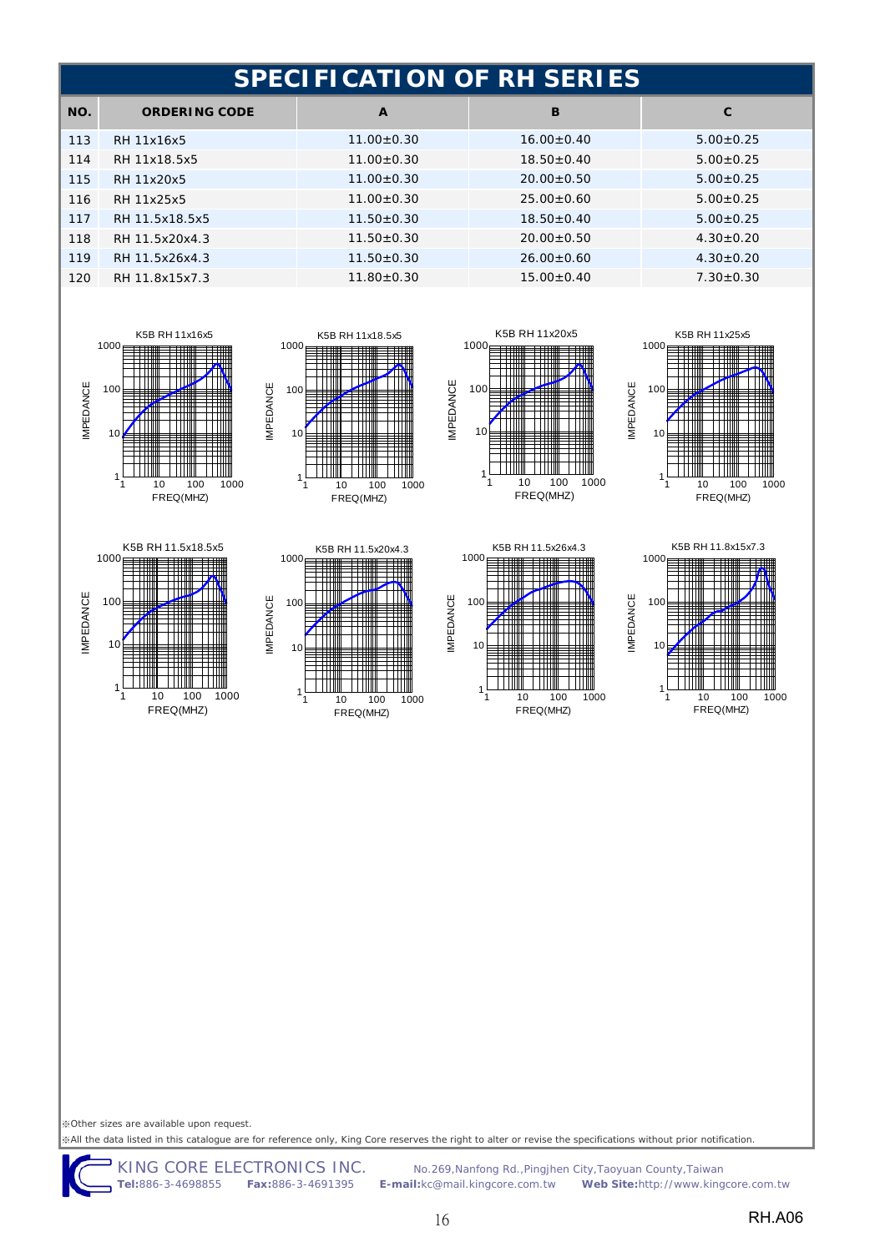| <b>SPECIFICATION OF RH SERIES</b> |                  |                  |                 |  |
|-----------------------------------|------------------|------------------|-----------------|--|
| <b>ORDERING CODE</b>              | $\mathbf{A}$     | B                | $\mathbf{C}$    |  |
| RH 11x16x5                        | $11.00 \pm 0.30$ | $16.00+0.40$     | $5.00+0.25$     |  |
| RH 11x18.5x5                      | $11.00 + 0.30$   | $18.50+0.40$     | $5.00 \pm 0.25$ |  |
| RH 11x20x5                        | $11.00 + 0.30$   | $20.00+0.50$     | $5.00+0.25$     |  |
| RH 11x25x5                        | $11.00 \pm 0.30$ | $25.00 \pm 0.60$ | $5.00 \pm 0.25$ |  |
| RH 11.5x18.5x5                    | $11.50 \pm 0.30$ | $18.50 \pm 0.40$ | $5.00 \pm 0.25$ |  |
| RH 11.5x20x4.3                    | $11.50 \pm 0.30$ | $20.00+0.50$     | $4.30 \pm 0.20$ |  |
| RH 11.5x26x4.3                    | $11.50 \pm 0.30$ | $26.00+0.60$     | $4.30 \pm 0.20$ |  |
| RH 11.8x15x7.3                    | $11.80 \pm 0.30$ | $15.00 \pm 0.40$ | $7.30 \pm 0.30$ |  |
|                                   |                  |                  |                 |  |







IMPEDANCE

**IMPEDANCE** 











※Other sizes are available upon request.

※All the data listed in this catalogue are for reference only, King Core reserves the right to alter or revise the specifications without prior notification.

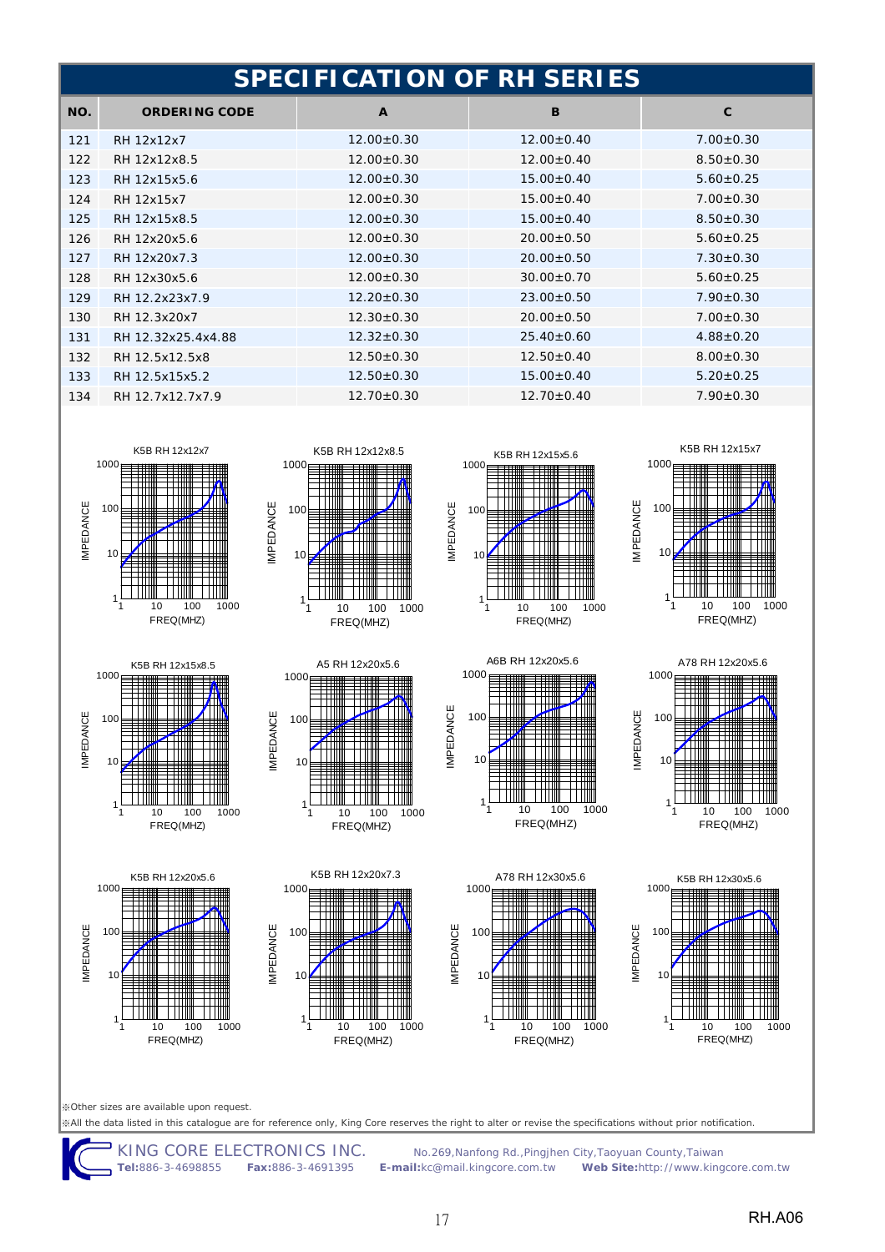|     | <b>SPECIFICATION OF RH SERIES</b> |                  |                  |                 |  |
|-----|-----------------------------------|------------------|------------------|-----------------|--|
| NO. | <b>ORDERING CODE</b>              | $\mathbf{A}$     | B                | $\mathbf{C}$    |  |
| 121 | RH 12x12x7                        | $12.00 \pm 0.30$ | $12.00 \pm 0.40$ | $7.00 \pm 0.30$ |  |
| 122 | RH 12x12x8.5                      | $12.00 \pm 0.30$ | $12.00+0.40$     | $8.50 + 0.30$   |  |
| 123 | RH 12x15x5.6                      | $12.00 \pm 0.30$ | $15.00 \pm 0.40$ | $5.60 + 0.25$   |  |
| 124 | RH 12x15x7                        | $12.00 \pm 0.30$ | $15.00 \pm 0.40$ | $7.00 \pm 0.30$ |  |
| 125 | RH 12x15x8.5                      | $12.00 \pm 0.30$ | $15.00 \pm 0.40$ | $8.50 \pm 0.30$ |  |
| 126 | RH 12x20x5.6                      | $12.00 \pm 0.30$ | $20.00 \pm 0.50$ | $5.60 \pm 0.25$ |  |
| 127 | RH 12x20x7.3                      | $12.00 \pm 0.30$ | $20.00 \pm 0.50$ | $7.30 \pm 0.30$ |  |
| 128 | RH 12x30x5.6                      | $12.00 \pm 0.30$ | $30.00 \pm 0.70$ | $5.60 \pm 0.25$ |  |
| 129 | RH 12.2x23x7.9                    | $12.20 \pm 0.30$ | $23.00 \pm 0.50$ | $7.90 \pm 0.30$ |  |
| 130 | RH 12.3x20x7                      | $12.30 \pm 0.30$ | $20.00 \pm 0.50$ | $7.00 \pm 0.30$ |  |
| 131 | RH 12.32x25.4x4.88                | $12.32 \pm 0.30$ | $25.40 \pm 0.60$ | $4.88 \pm 0.20$ |  |
| 132 | RH 12.5x12.5x8                    | $12.50 \pm 0.30$ | $12.50 \pm 0.40$ | $8.00 \pm 0.30$ |  |
| 133 | RH 12.5x15x5.2                    | $12.50 \pm 0.30$ | $15.00 \pm 0.40$ | $5.20 \pm 0.25$ |  |
| 134 | RH 12.7x12.7x7.9                  | $12.70 \pm 0.30$ | $12.70 \pm 0.40$ | $7.90 \pm 0.30$ |  |











K5B RH 12x20x5.6



K5B RH 12x20x7.3









※Other sizes are available upon request.

1

 $10$ 

100

IMPEDANCE

**IMPEDANCE** 

1000

10 100 1000 FREQ(MHZ)

※All the data listed in this catalogue are for reference only, King Core reserves the right to alter or revise the specifications without prior notification.

10 100 1000 FREQ(MHZ)

1

 $1<sup>c</sup>$ 

100

IMPEDANCE

**IMPEDANCE** 

1000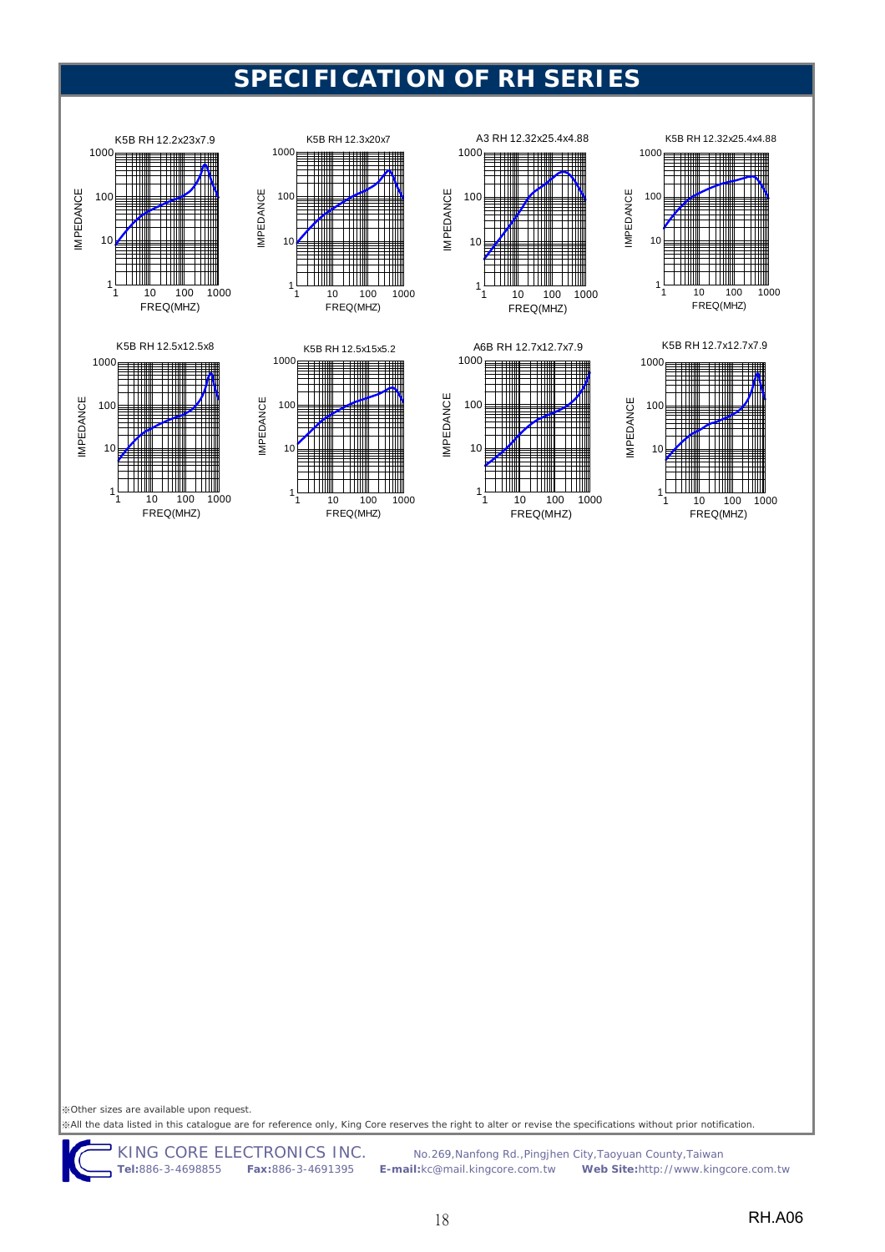

















※Other sizes are available upon request.

※All the data listed in this catalogue are for reference only, King Core reserves the right to alter or revise the specifications without prior notification.

KING CORE ELECTRONICS INC.No.269,Nanfong Rd.,Pingjhen City,Taoyuan County,Taiwan **Tel:**886-35 Web Site:http://www.kingcore.com.tw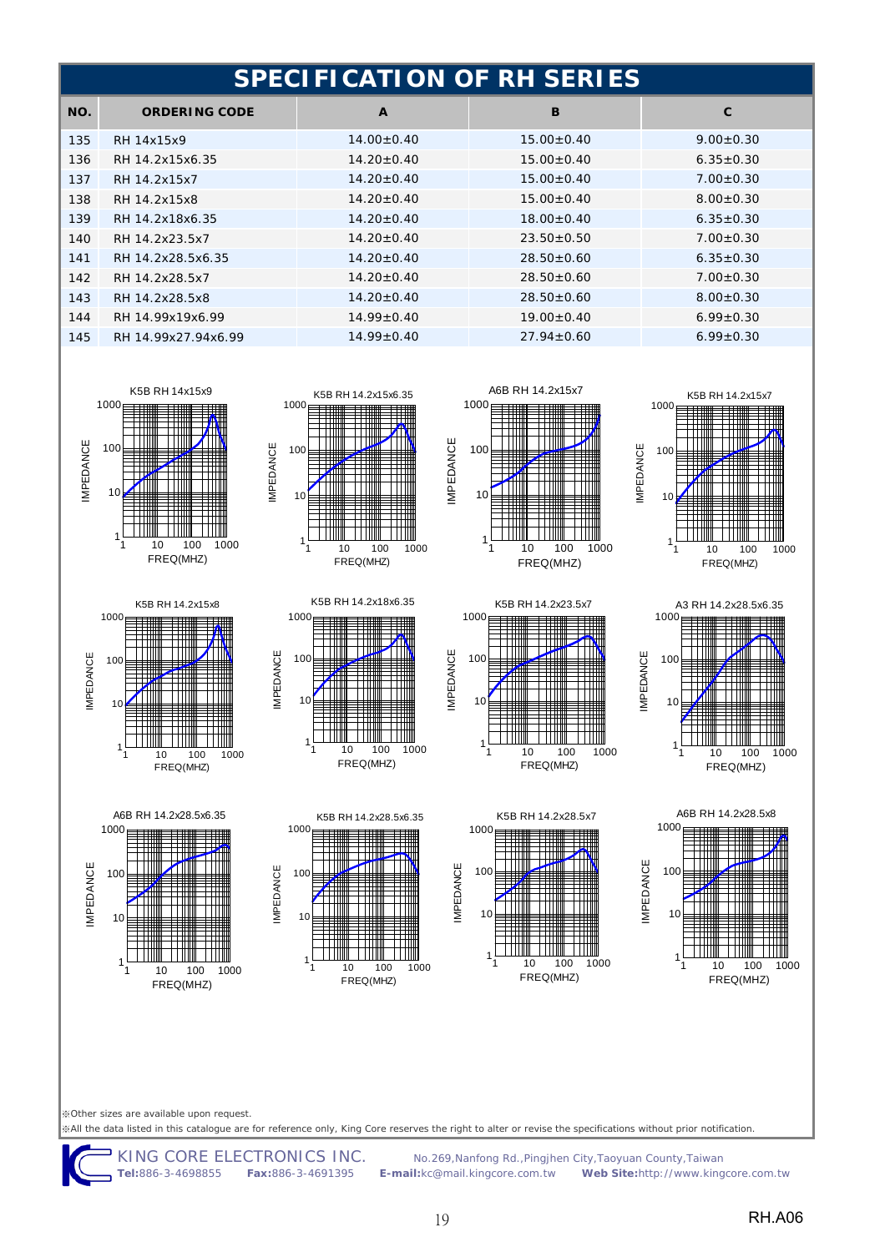|     | SPECIFICATION OF RH SERIES |                  |                  |                 |  |
|-----|----------------------------|------------------|------------------|-----------------|--|
| NO. | <b>ORDERING CODE</b>       | $\mathbf{A}$     | B                | C               |  |
| 135 | RH 14x15x9                 | $14.00 \pm 0.40$ | $15.00 \pm 0.40$ | $9.00 \pm 0.30$ |  |
| 136 | RH 14.2x15x6.35            | $14.20 \pm 0.40$ | $15.00+0.40$     | $6.35 \pm 0.30$ |  |
| 137 | RH 14.2x15x7               | $14.20 \pm 0.40$ | $15.00+0.40$     | $7.00 + 0.30$   |  |
| 138 | RH 14.2x15x8               | $14.20 \pm 0.40$ | $15.00 + 0.40$   | $8.00 \pm 0.30$ |  |
| 139 | RH 14.2x18x6.35            | $14.20 \pm 0.40$ | $18.00+0.40$     | $6.35 \pm 0.30$ |  |
| 140 | RH 14.2x23.5x7             | $14.20 \pm 0.40$ | $23.50+0.50$     | $7.00 + 0.30$   |  |
| 141 | RH 14.2x28.5x6.35          | $14.20 \pm 0.40$ | $28.50+0.60$     | $6.35 \pm 0.30$ |  |
| 142 | RH 14.2x28.5x7             | $14.20 \pm 0.40$ | $28.50 \pm 0.60$ | $7.00 \pm 0.30$ |  |
| 143 | RH 14.2x28.5x8             | $14.20 \pm 0.40$ | $28.50+0.60$     | $8.00 + 0.30$   |  |
| 144 | RH 14.99x19x6.99           | $14.99 \pm 0.40$ | $19.00 \pm 0.40$ | $6.99 \pm 0.30$ |  |
| 145 | RH 14.99x27.94x6.99        | $14.99 \pm 0.40$ | $27.94 \pm 0.60$ | $6.99 \pm 0.30$ |  |



K5B RH 14.2x15x8

10 100 1000 FREQ(MHZ)

A6B RH 14.2x28.5x6.35

10 100 1000 FREQ(MHZ)

1

1

10

100

IMPEDANCE

**IMPEDANCE** 

1000

 $1<sub>0</sub>$ 

100

IMPEDANCE

**IMPEDANCE** 

1000



K5B RH 14.2x18x6.35









1 10 100 1000 FREQ(MHZ)

Ш

K5B RH 14.2x23.5x7

1

10

100

IMPEDANCE

**IMPEDANCE** 

1000





※All the data listed in this catalogue are for reference only, King Core reserves the right to alter or revise the specifications without prior notification.

10 100 1000 FREQ(MHZ)

K5B RH 14.2x28.5x6.35

10 100 1000 FREQ(MHZ)

Ш

1

 $10$ 

100

IMPEDANCE

**IMPEDANCE** 

1000

1

Ш

 $1<sub>0</sub>$ 

100

IMPEDANCE

**IMPEDANCE** 

1000

**Tel:**886-3-4698855 **Fax:**886-3-4691395 **E-mail:**kc@mail.kingcore.com.tw **Web Site:**http://www.kingcore.com.tw

No.269, Nanfong Rd., Pingjhen City, Taoyuan County, Taiwan<br>**il:**kc@mail.kingcore.com.tw **Web Site:**http://www.kingcore.com.tw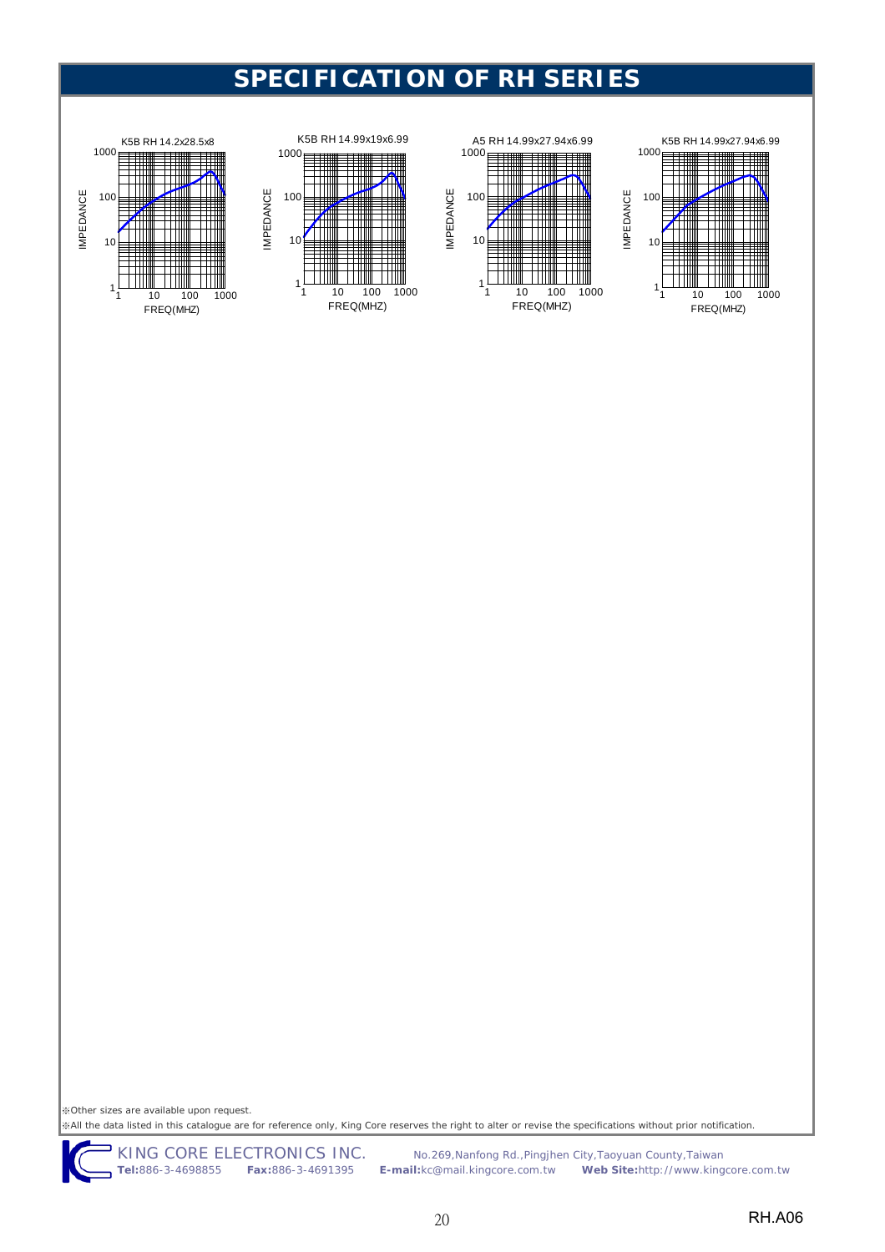







※Other sizes are available upon request. ※All the data listed in this catalogue are for reference only, King Core reserves the right to alter or revise the specifications without prior notification.

KING CORE ELECTRONICS INC. No.269, Nanfong Rd., Pingjhen City, Taoyuan County, Taiwan<br>Tel:886-3-4698855 Fax:886-3-4691395 E-mail:kc@mail.kingcore.com.tw Web Site:http://www.king **Tel:**886-3-4698855 **Fax:**886-3-4691395 **E-mail:**kc@mail.kingcore.com.tw **Web Site:**http://www.kingcore.com.tw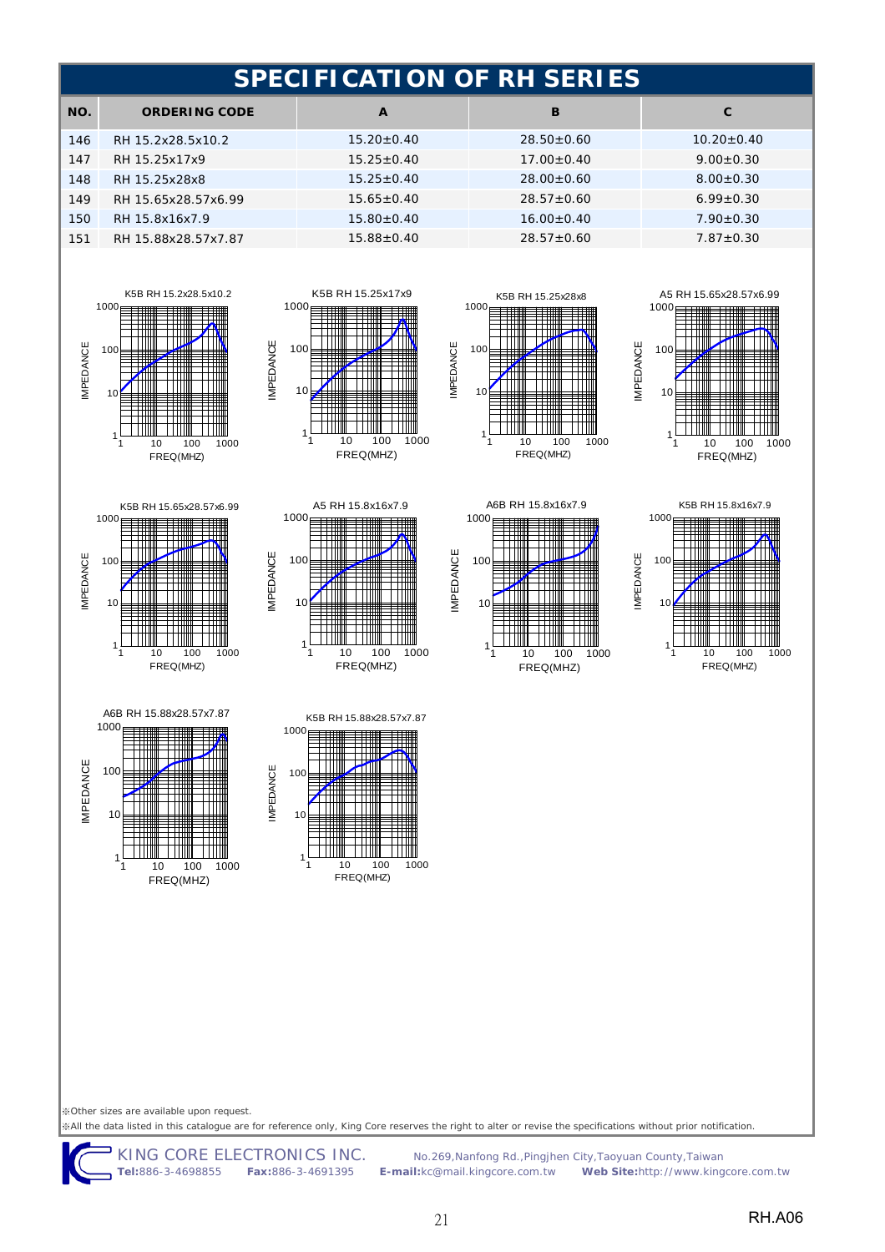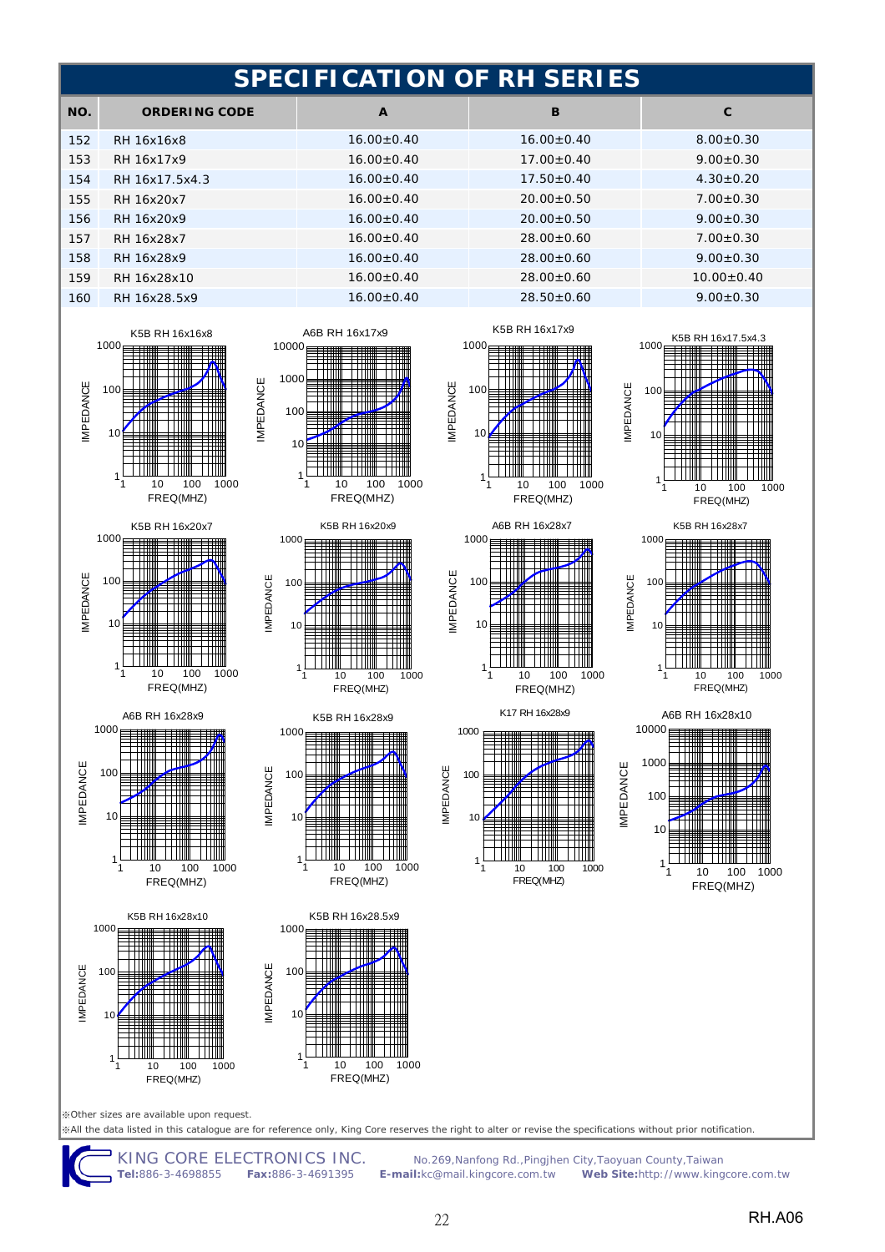|     | <b>SPECIFICATION OF RH SERIES</b> |                  |                  |                 |  |
|-----|-----------------------------------|------------------|------------------|-----------------|--|
| NO. | <b>ORDERING CODE</b>              | $\mathbf{A}$     | B                | $\mathbf{C}$    |  |
| 152 | RH 16x16x8                        | $16.00 \pm 0.40$ | $16.00 \pm 0.40$ | $8.00 + 0.30$   |  |
| 153 | RH 16x17x9                        | $16.00 \pm 0.40$ | $17.00 \pm 0.40$ | $9.00 \pm 0.30$ |  |
| 154 | RH 16x17.5x4.3                    | $16.00 \pm 0.40$ | $17.50 \pm 0.40$ | $4.30 \pm 0.20$ |  |
| 155 | RH 16x20x7                        | $16.00+0.40$     | $20.00 \pm 0.50$ | $7.00 \pm 0.30$ |  |
| 156 | RH 16x20x9                        | $16.00 \pm 0.40$ | $20.00+0.50$     | $9.00 \pm 0.30$ |  |
| 157 | RH 16x28x7                        | $16.00 \pm 0.40$ | $28.00+0.60$     | $7.00 \pm 0.30$ |  |
| 158 | RH 16x28x9                        | $16.00 \pm 0.40$ | $28.00 \pm 0.60$ | $9.00 \pm 0.30$ |  |
| 159 | RH 16x28x10                       | $16.00+0.40$     | $28.00+0.60$     | $10.00 + 0.40$  |  |
| 160 | RH 16x28.5x9                      | $16.00 \pm 0.40$ | $28.50 \pm 0.60$ | $9.00 \pm 0.30$ |  |
|     |                                   |                  |                  |                 |  |









1000

10000

A6B RH 16x17x9

Ħ

ĦĦ





1000<sub>F</sub>



K5B RH 16x17.5x4.3

M



₩

1

10

100

IMPEDANCE

**IMPEDANCE** 

IMPEDANCE

**IMPEDANCE** 





IMPEDANCE

**IMPEDANCE** 

※All the data listed in this catalogue are for reference only, King Core reserves the right to alter or revise the specifications without prior notification. ※Other sizes are available upon request.

1

KING CORE ELECTRONICS INC.No.269,Nanfong Rd.,Pingjhen City,Taoyuan County,Taiwan **Tel:**886-3-4698855 **Fax:**886-3-4691395 **E-mail:**kc@mail.kingcore.com.tw **Web Site:**http://www.kingcore.com.tw

22 RH.A06

10 100 1000 FREQ(MHZ)

TIIII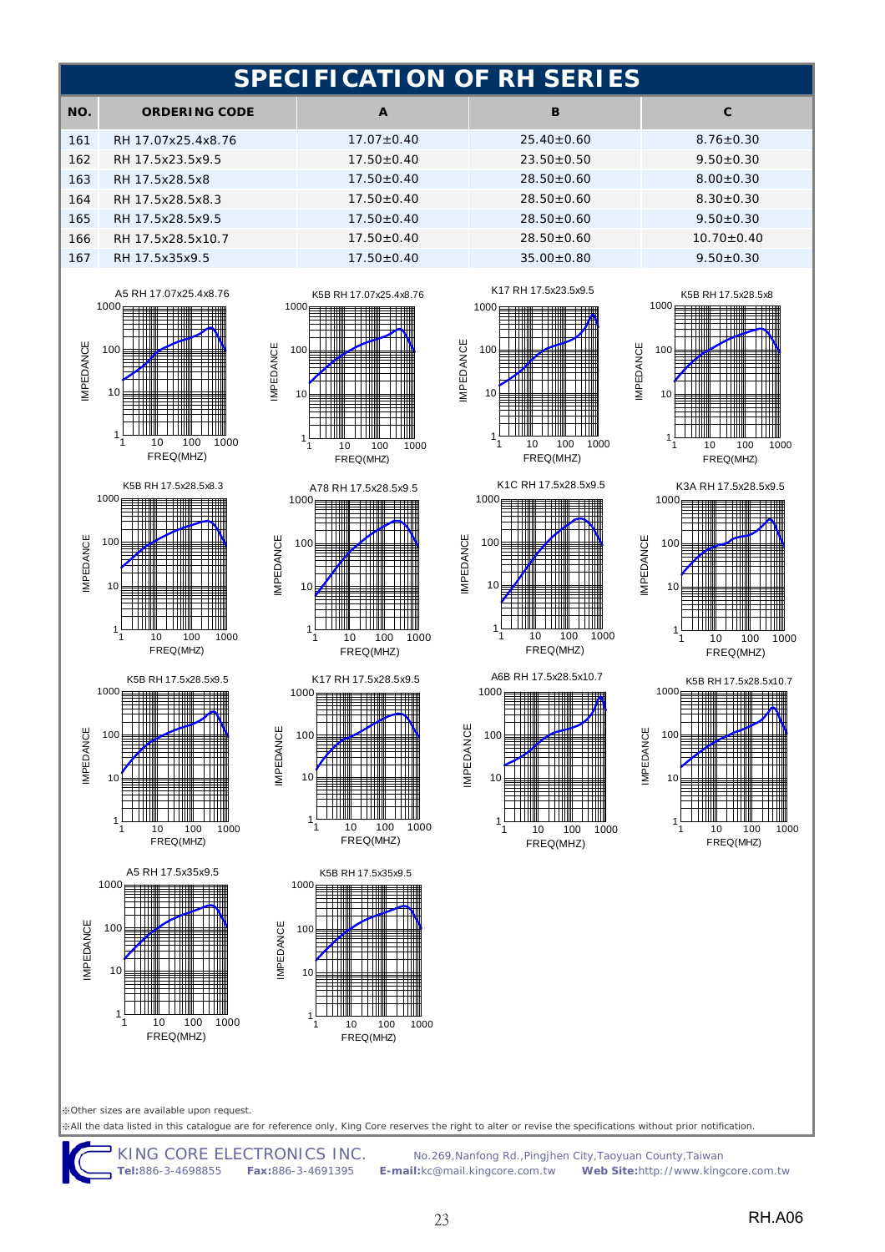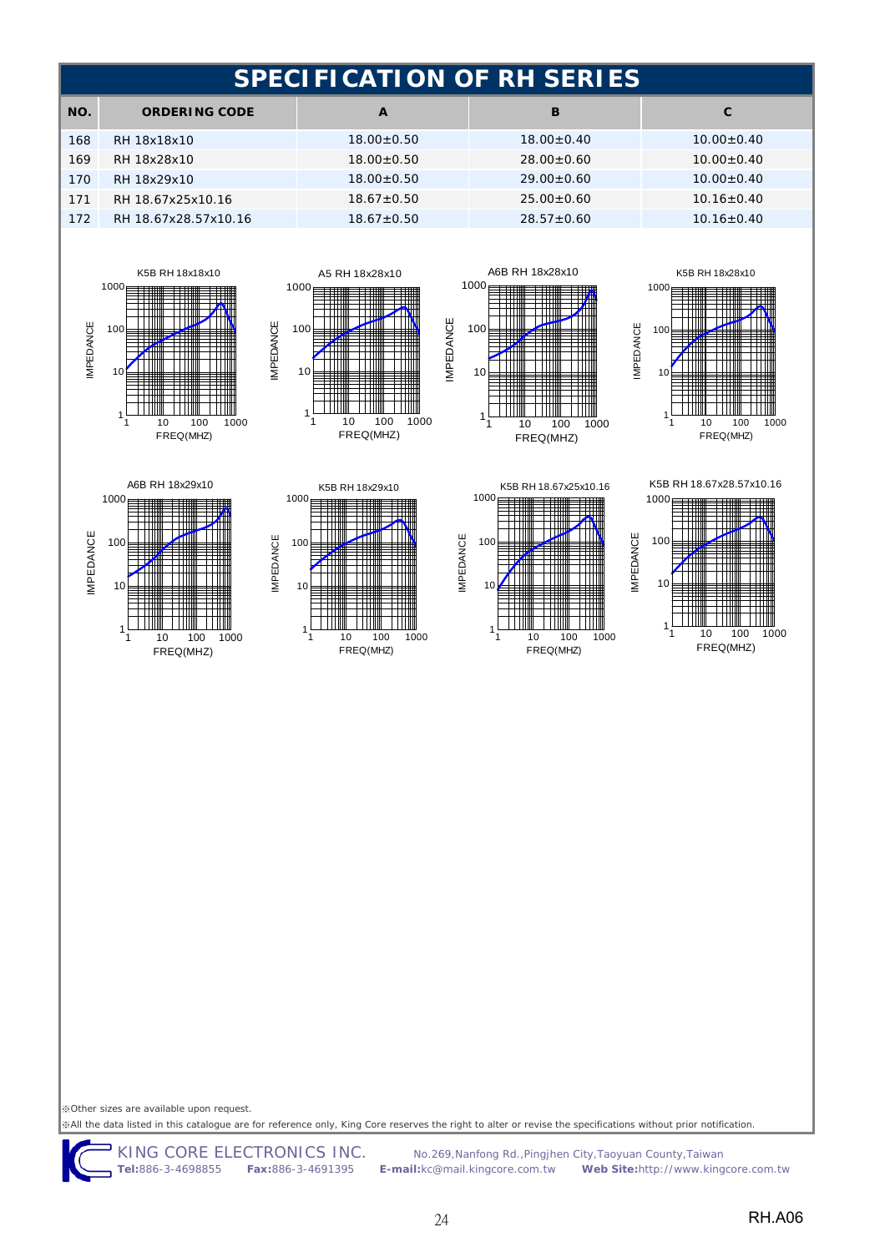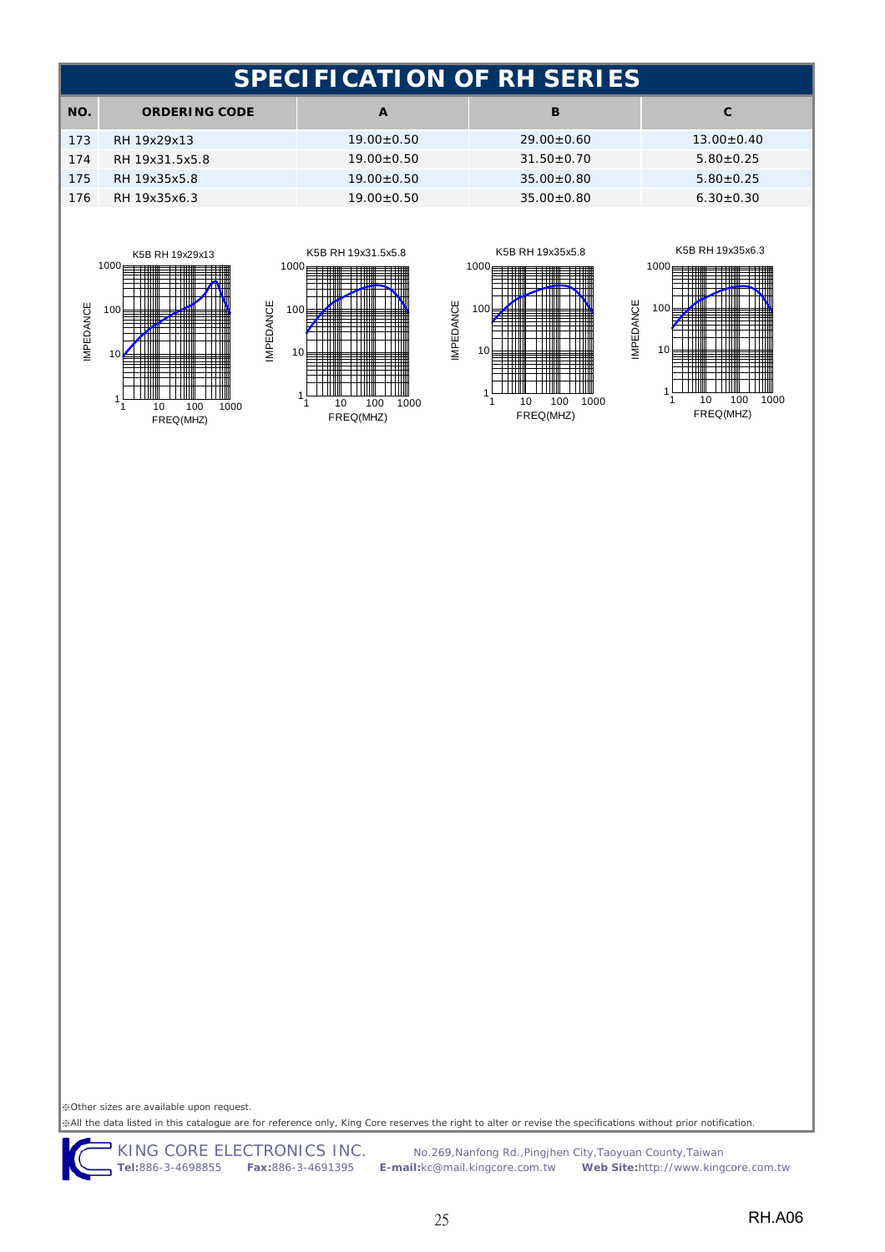| SPECIFICATION OF RH SERIES |                      |                  |                  |                  |
|----------------------------|----------------------|------------------|------------------|------------------|
| NO.                        | <b>ORDERING CODE</b> | A                | B                | C.               |
| 173                        | RH 19x29x13          | $19.00 \pm 0.50$ | $29.00+0.60$     | $13.00 \pm 0.40$ |
| 174                        | RH 19x31.5x5.8       | $19.00 \pm 0.50$ | $31.50+0.70$     | $5.80 \pm 0.25$  |
| 175                        | RH 19x35x5.8         | $19.00+0.50$     | $35.00 + 0.80$   | $5.80 + 0.25$    |
| 176                        | RH 19x35x6.3         | $19.00 \pm 0.50$ | $35.00 \pm 0.80$ | $6.30 \pm 0.30$  |









※Other sizes are available upon request. ※All the data listed in this catalogue are for reference only, King Core reserves the right to alter or revise the specifications without prior notification.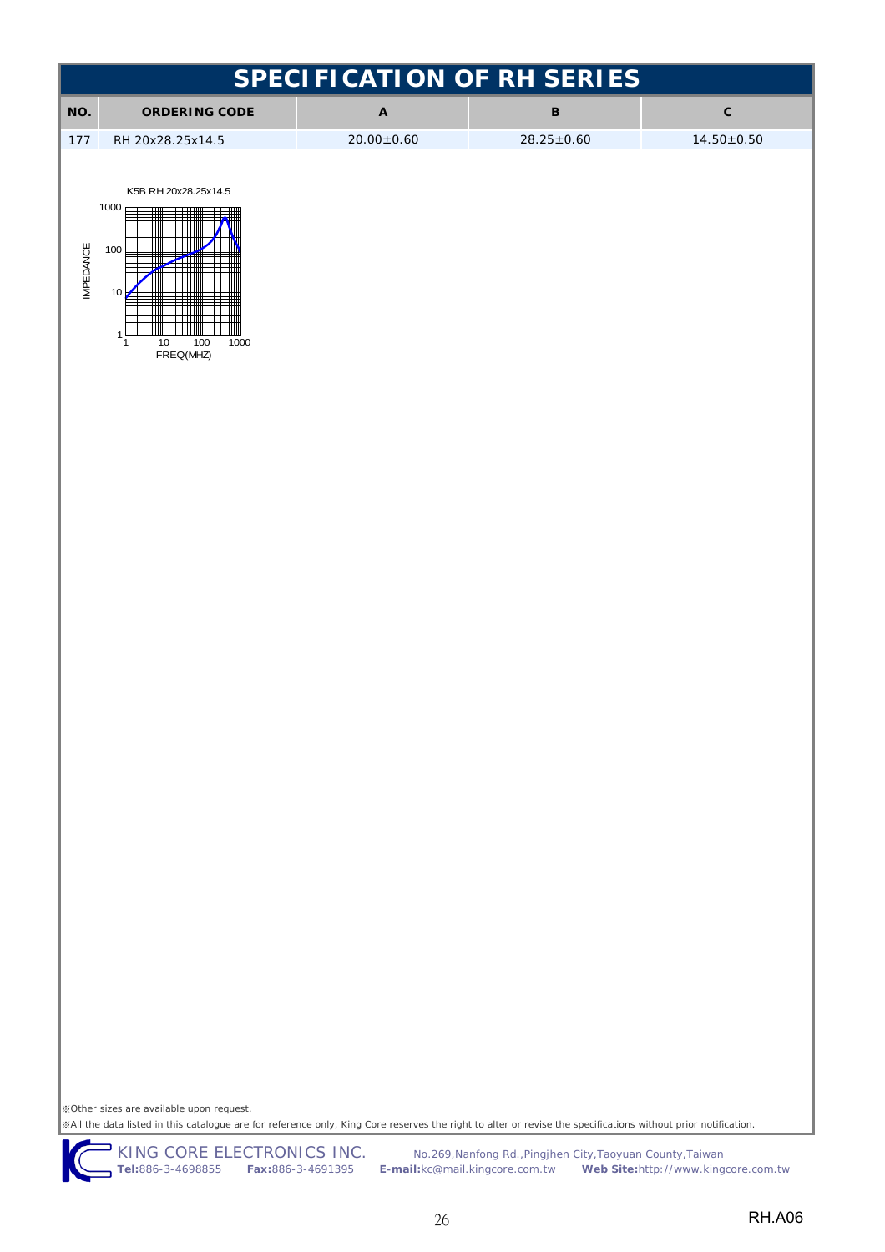| <b>SPECIFICATION OF RH SERIES</b>                                                                                                                                                                                                                         |                                          |                           |                  |                  |  |  |  |  |
|-----------------------------------------------------------------------------------------------------------------------------------------------------------------------------------------------------------------------------------------------------------|------------------------------------------|---------------------------|------------------|------------------|--|--|--|--|
| NO.                                                                                                                                                                                                                                                       | <b>ORDERING CODE</b>                     | $\boldsymbol{\mathsf{A}}$ | $\, {\bf B}$     | $\mathbf{C}$     |  |  |  |  |
| 177                                                                                                                                                                                                                                                       | RH 20x28.25x14.5                         | $20.00 \pm 0.60$          | $28.25 \pm 0.60$ | $14.50 \pm 0.50$ |  |  |  |  |
|                                                                                                                                                                                                                                                           |                                          |                           |                  |                  |  |  |  |  |
|                                                                                                                                                                                                                                                           | K5B RH 20x28.25x14.5<br>1000             |                           |                  |                  |  |  |  |  |
|                                                                                                                                                                                                                                                           |                                          |                           |                  |                  |  |  |  |  |
|                                                                                                                                                                                                                                                           | 100                                      |                           |                  |                  |  |  |  |  |
| <b>IMPEDANCE</b>                                                                                                                                                                                                                                          | 10                                       |                           |                  |                  |  |  |  |  |
|                                                                                                                                                                                                                                                           |                                          |                           |                  |                  |  |  |  |  |
|                                                                                                                                                                                                                                                           | $\mathbf{1}$<br>100<br>1000<br>10<br>1   |                           |                  |                  |  |  |  |  |
|                                                                                                                                                                                                                                                           | FREQ(MHZ)                                |                           |                  |                  |  |  |  |  |
|                                                                                                                                                                                                                                                           |                                          |                           |                  |                  |  |  |  |  |
|                                                                                                                                                                                                                                                           |                                          |                           |                  |                  |  |  |  |  |
|                                                                                                                                                                                                                                                           |                                          |                           |                  |                  |  |  |  |  |
|                                                                                                                                                                                                                                                           |                                          |                           |                  |                  |  |  |  |  |
|                                                                                                                                                                                                                                                           |                                          |                           |                  |                  |  |  |  |  |
|                                                                                                                                                                                                                                                           |                                          |                           |                  |                  |  |  |  |  |
|                                                                                                                                                                                                                                                           |                                          |                           |                  |                  |  |  |  |  |
|                                                                                                                                                                                                                                                           |                                          |                           |                  |                  |  |  |  |  |
|                                                                                                                                                                                                                                                           |                                          |                           |                  |                  |  |  |  |  |
|                                                                                                                                                                                                                                                           |                                          |                           |                  |                  |  |  |  |  |
|                                                                                                                                                                                                                                                           |                                          |                           |                  |                  |  |  |  |  |
|                                                                                                                                                                                                                                                           |                                          |                           |                  |                  |  |  |  |  |
|                                                                                                                                                                                                                                                           |                                          |                           |                  |                  |  |  |  |  |
|                                                                                                                                                                                                                                                           |                                          |                           |                  |                  |  |  |  |  |
|                                                                                                                                                                                                                                                           |                                          |                           |                  |                  |  |  |  |  |
|                                                                                                                                                                                                                                                           |                                          |                           |                  |                  |  |  |  |  |
|                                                                                                                                                                                                                                                           |                                          |                           |                  |                  |  |  |  |  |
|                                                                                                                                                                                                                                                           |                                          |                           |                  |                  |  |  |  |  |
|                                                                                                                                                                                                                                                           |                                          |                           |                  |                  |  |  |  |  |
|                                                                                                                                                                                                                                                           |                                          |                           |                  |                  |  |  |  |  |
|                                                                                                                                                                                                                                                           |                                          |                           |                  |                  |  |  |  |  |
|                                                                                                                                                                                                                                                           |                                          |                           |                  |                  |  |  |  |  |
|                                                                                                                                                                                                                                                           |                                          |                           |                  |                  |  |  |  |  |
|                                                                                                                                                                                                                                                           |                                          |                           |                  |                  |  |  |  |  |
|                                                                                                                                                                                                                                                           |                                          |                           |                  |                  |  |  |  |  |
|                                                                                                                                                                                                                                                           | ※Other sizes are available upon request. |                           |                  |                  |  |  |  |  |
| ※All the data listed in this catalogue are for reference only, King Core reserves the right to alter or revise the specifications without prior notification.<br>KING CORE ELECTRONICS INC.<br>No.269, Nanfong Rd., Pingjhen City, Taoyuan County, Taiwan |                                          |                           |                  |                  |  |  |  |  |

26 RH.A06

**Tel:**886-3-4698855 **Fax:**886-3-4691395 **E-mail:**kc@mail.kingcore.com.tw **Web Site:**http://www.kingcore.com.tw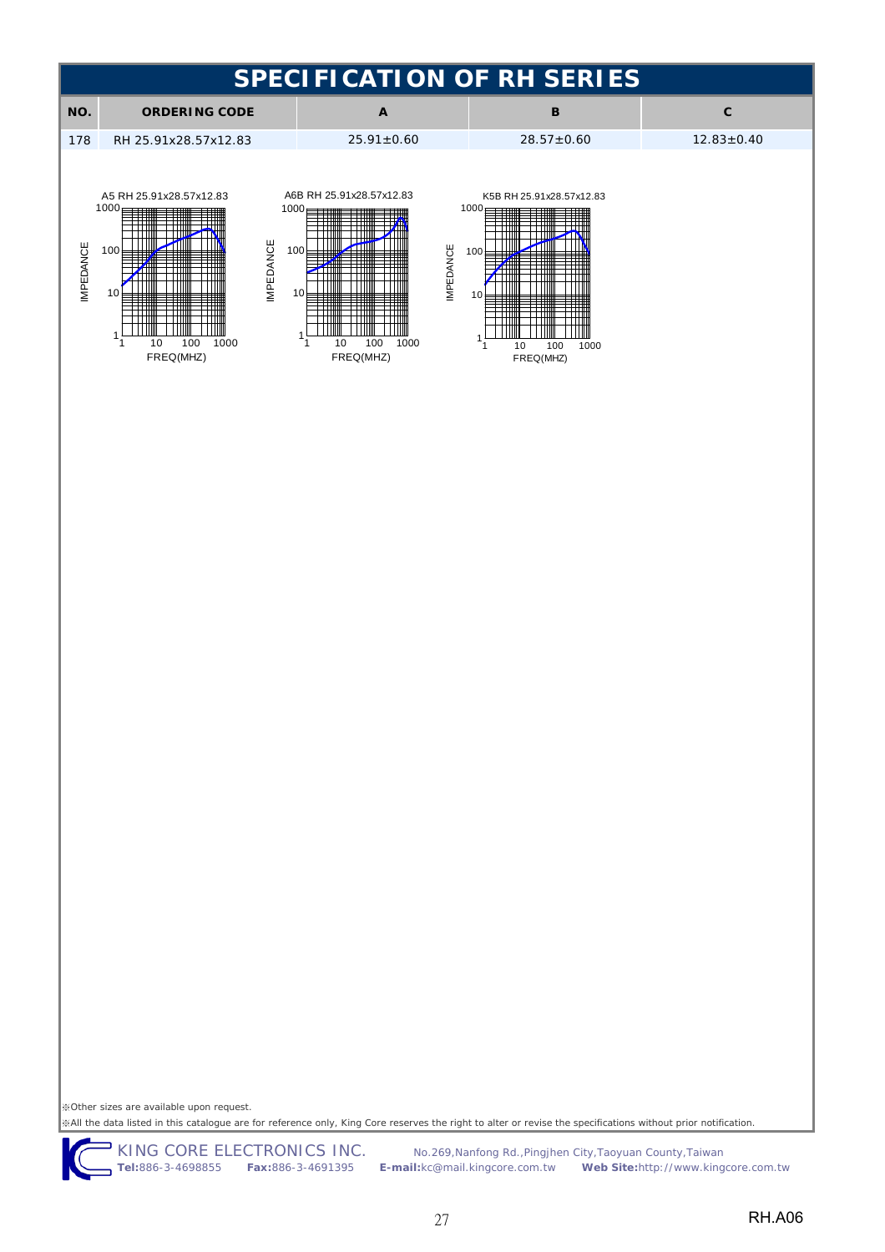

※All the data listed in this catalogue are for reference only, King Core reserves the right to alter or revise the specifications without prior notification. ※Other sizes are available upon request.

KING CORE ELECTRONICS INC. No.269, Nanfong Rd., Pingjhen City, Taoyuan County, Taiwan

**Tel:**886-3-4698855 **Fax:**886-3-4691395 **E-mail:**kc@mail.kingcore.com.tw **Web Site:**http://www.kingcore.com.tw